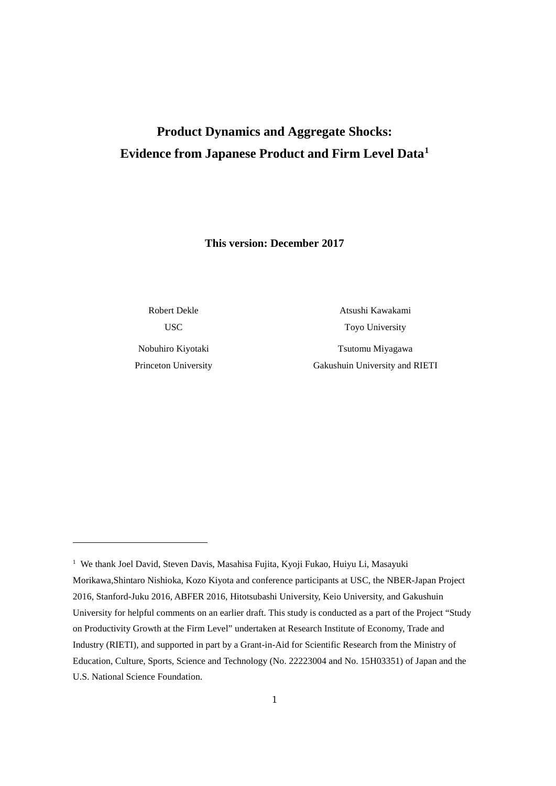# **Product Dynamics and Aggregate Shocks: Evidence from Japanese Product and Firm Level Data[1](#page-0-0)**

**This version: December 2017**

Robert Dekle USC

Nobuhiro Kiyotaki Princeton University

1

Atsushi Kawakami Toyo University

Tsutomu Miyagawa Gakushuin University and RIETI

<span id="page-0-0"></span><sup>&</sup>lt;sup>1</sup> We thank Joel David, Steven Davis, Masahisa Fujita, Kyoji Fukao, Huiyu Li, Masayuki Morikawa,Shintaro Nishioka, Kozo Kiyota and conference participants at USC, the NBER-Japan Project 2016, Stanford-Juku 2016, ABFER 2016, Hitotsubashi University, Keio University, and Gakushuin University for helpful comments on an earlier draft. This study is conducted as a part of the Project "Study on Productivity Growth at the Firm Level" undertaken at Research Institute of Economy, Trade and Industry (RIETI), and supported in part by a Grant-in-Aid for Scientific Research from the Ministry of Education, Culture, Sports, Science and Technology (No. 22223004 and No. 15H03351) of Japan and the U.S. National Science Foundation.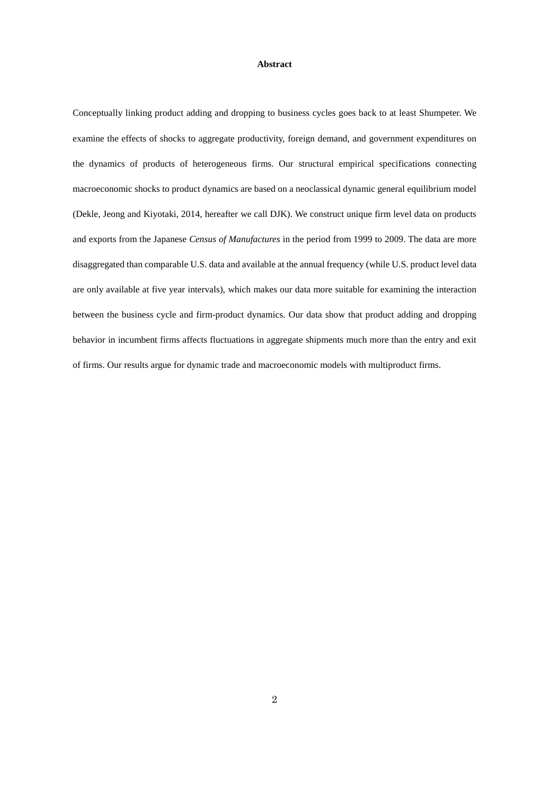#### **Abstract**

Conceptually linking product adding and dropping to business cycles goes back to at least Shumpeter. We examine the effects of shocks to aggregate productivity, foreign demand, and government expenditures on the dynamics of products of heterogeneous firms. Our structural empirical specifications connecting macroeconomic shocks to product dynamics are based on a neoclassical dynamic general equilibrium model (Dekle, Jeong and Kiyotaki, 2014, hereafter we call DJK). We construct unique firm level data on products and exports from the Japanese *Census of Manufactures* in the period from 1999 to 2009. The data are more disaggregated than comparable U.S. data and available at the annual frequency (while U.S. product level data are only available at five year intervals), which makes our data more suitable for examining the interaction between the business cycle and firm-product dynamics. Our data show that product adding and dropping behavior in incumbent firms affects fluctuations in aggregate shipments much more than the entry and exit of firms. Our results argue for dynamic trade and macroeconomic models with multiproduct firms.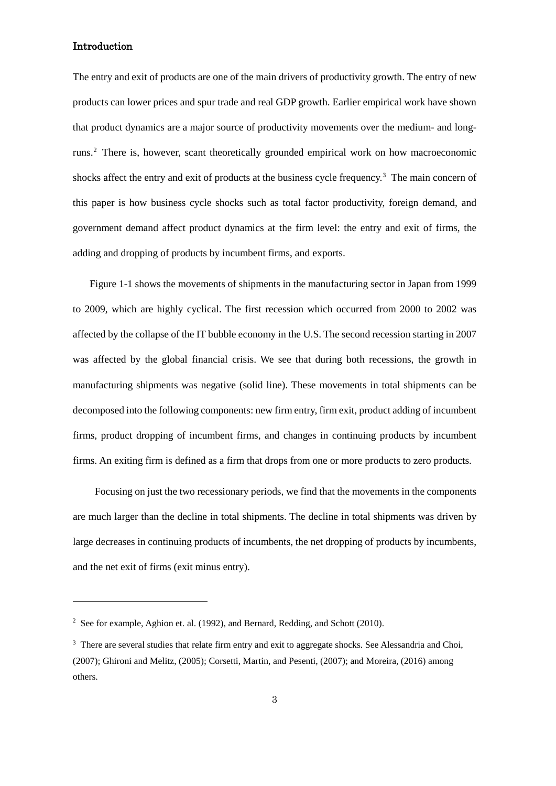## Introduction

1

The entry and exit of products are one of the main drivers of productivity growth. The entry of new products can lower prices and spur trade and real GDP growth. Earlier empirical work have shown that product dynamics are a major source of productivity movements over the medium- and longruns. [2](#page-4-0) There is, however, scant theoretically grounded empirical work on how macroeconomic shocks affect the entry and exit of products at the business cycle frequency. [3](#page-4-1) The main concern of this paper is how business cycle shocks such as total factor productivity, foreign demand, and government demand affect product dynamics at the firm level: the entry and exit of firms, the adding and dropping of products by incumbent firms, and exports.

Figure 1-1 shows the movements of shipments in the manufacturing sector in Japan from 1999 to 2009, which are highly cyclical. The first recession which occurred from 2000 to 2002 was affected by the collapse of the IT bubble economy in the U.S. The second recession starting in 2007 was affected by the global financial crisis. We see that during both recessions, the growth in manufacturing shipments was negative (solid line). These movements in total shipments can be decomposed into the following components: new firm entry, firm exit, product adding of incumbent firms, product dropping of incumbent firms, and changes in continuing products by incumbent firms. An exiting firm is defined as a firm that drops from one or more products to zero products.

Focusing on just the two recessionary periods, we find that the movements in the components are much larger than the decline in total shipments. The decline in total shipments was driven by large decreases in continuing products of incumbents, the net dropping of products by incumbents, and the net exit of firms (exit minus entry).

<sup>&</sup>lt;sup>2</sup> See for example, Aghion et. al. (1992), and Bernard, Redding, and Schott (2010).

<sup>&</sup>lt;sup>3</sup> There are several studies that relate firm entry and exit to aggregate shocks. See Alessandria and Choi, (2007); Ghironi and Melitz, (2005); Corsetti, Martin, and Pesenti, (2007); and Moreira, (2016) among others.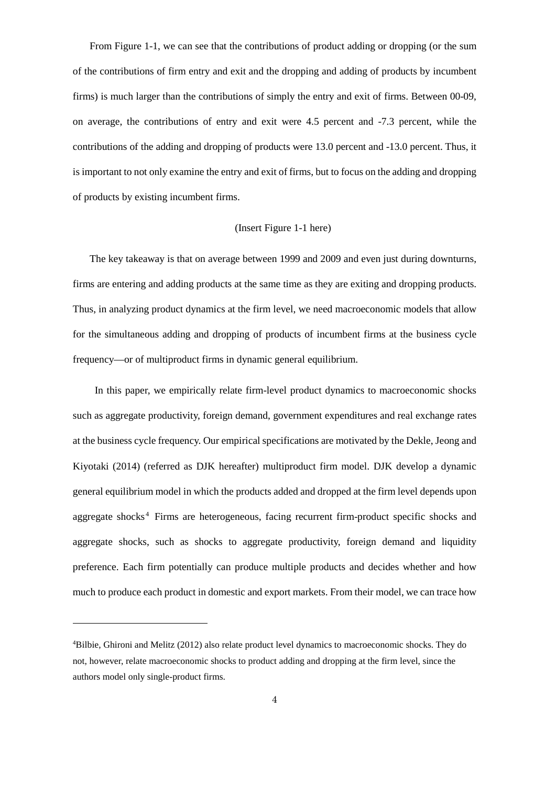From Figure 1-1, we can see that the contributions of product adding or dropping (or the sum of the contributions of firm entry and exit and the dropping and adding of products by incumbent firms) is much larger than the contributions of simply the entry and exit of firms. Between 00-09, on average, the contributions of entry and exit were 4.5 percent and -7.3 percent, while the contributions of the adding and dropping of products were 13.0 percent and -13.0 percent. Thus, it is important to not only examine the entry and exit of firms, but to focus on the adding and dropping of products by existing incumbent firms.

#### (Insert Figure 1-1 here)

The key takeaway is that on average between 1999 and 2009 and even just during downturns, firms are entering and adding products at the same time as they are exiting and dropping products. Thus, in analyzing product dynamics at the firm level, we need macroeconomic models that allow for the simultaneous adding and dropping of products of incumbent firms at the business cycle frequency—or of multiproduct firms in dynamic general equilibrium.

In this paper, we empirically relate firm-level product dynamics to macroeconomic shocks such as aggregate productivity, foreign demand, government expenditures and real exchange rates at the business cycle frequency. Our empirical specifications are motivated by the Dekle, Jeong and Kiyotaki (2014) (referred as DJK hereafter) multiproduct firm model. DJK develop a dynamic general equilibrium model in which the products added and dropped at the firm level depends upon aggregate shocks<sup>[4](#page-5-0)</sup> Firms are heterogeneous, facing recurrent firm-product specific shocks and aggregate shocks, such as shocks to aggregate productivity, foreign demand and liquidity preference. Each firm potentially can produce multiple products and decides whether and how much to produce each product in domestic and export markets. From their model, we can trace how

1

<sup>4</sup> Bilbie, Ghironi and Melitz (2012) also relate product level dynamics to macroeconomic shocks. They do not, however, relate macroeconomic shocks to product adding and dropping at the firm level, since the authors model only single-product firms.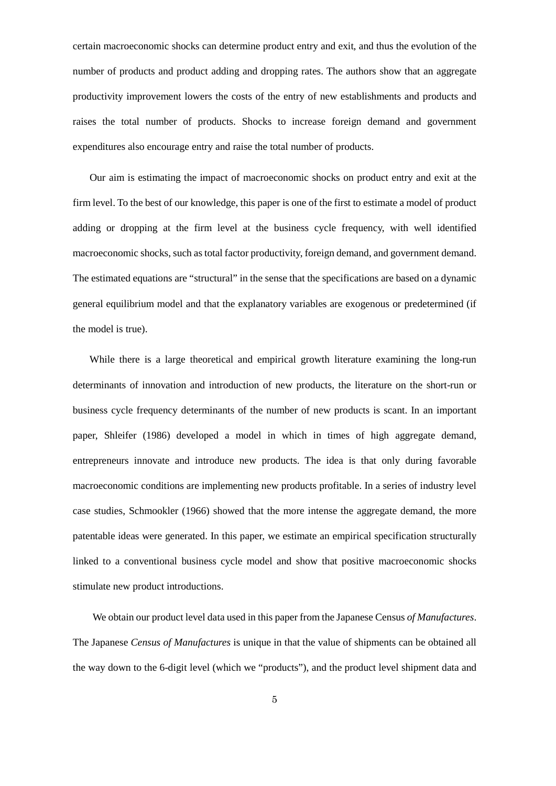certain macroeconomic shocks can determine product entry and exit, and thus the evolution of the number of products and product adding and dropping rates. The authors show that an aggregate productivity improvement lowers the costs of the entry of new establishments and products and raises the total number of products. Shocks to increase foreign demand and government expenditures also encourage entry and raise the total number of products.

Our aim is estimating the impact of macroeconomic shocks on product entry and exit at the firm level. To the best of our knowledge, this paper is one of the first to estimate a model of product adding or dropping at the firm level at the business cycle frequency, with well identified macroeconomic shocks, such as total factor productivity, foreign demand, and government demand. The estimated equations are "structural" in the sense that the specifications are based on a dynamic general equilibrium model and that the explanatory variables are exogenous or predetermined (if the model is true).

While there is a large theoretical and empirical growth literature examining the long-run determinants of innovation and introduction of new products, the literature on the short-run or business cycle frequency determinants of the number of new products is scant. In an important paper, Shleifer (1986) developed a model in which in times of high aggregate demand, entrepreneurs innovate and introduce new products. The idea is that only during favorable macroeconomic conditions are implementing new products profitable. In a series of industry level case studies, Schmookler (1966) showed that the more intense the aggregate demand, the more patentable ideas were generated. In this paper, we estimate an empirical specification structurally linked to a conventional business cycle model and show that positive macroeconomic shocks stimulate new product introductions.

<span id="page-4-1"></span><span id="page-4-0"></span>We obtain our product level data used in this paper from the Japanese Census *of Manufactures*. The Japanese *Census of Manufactures* is unique in that the value of shipments can be obtained all the way down to the 6-digit level (which we "products"), and the product level shipment data and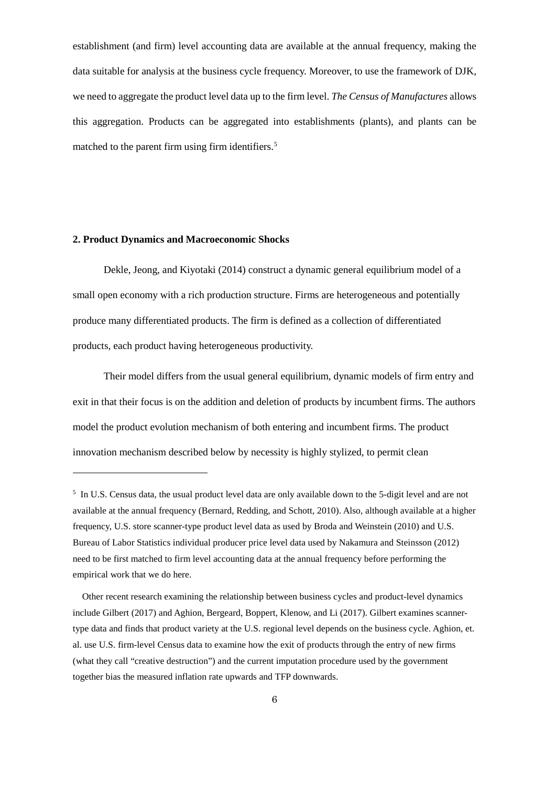establishment (and firm) level accounting data are available at the annual frequency, making the data suitable for analysis at the business cycle frequency. Moreover, to use the framework of DJK, we need to aggregate the product level data up to the firm level. *The Census of Manufactures* allows this aggregation. Products can be aggregated into establishments (plants), and plants can be matched to the parent firm using firm identifiers.<sup>[5](#page-7-0)</sup>

## **2. Product Dynamics and Macroeconomic Shocks**

1

 Dekle, Jeong, and Kiyotaki (2014) construct a dynamic general equilibrium model of a small open economy with a rich production structure. Firms are heterogeneous and potentially produce many differentiated products. The firm is defined as a collection of differentiated products, each product having heterogeneous productivity.

 Their model differs from the usual general equilibrium, dynamic models of firm entry and exit in that their focus is on the addition and deletion of products by incumbent firms. The authors model the product evolution mechanism of both entering and incumbent firms. The product innovation mechanism described below by necessity is highly stylized, to permit clean

<sup>5</sup> In U.S. Census data, the usual product level data are only available down to the 5-digit level and are not available at the annual frequency (Bernard, Redding, and Schott, 2010). Also, although available at a higher frequency, U.S. store scanner-type product level data as used by Broda and Weinstein (2010) and U.S. Bureau of Labor Statistics individual producer price level data used by Nakamura and Steinsson (2012) need to be first matched to firm level accounting data at the annual frequency before performing the empirical work that we do here.

<span id="page-5-0"></span>Other recent research examining the relationship between business cycles and product-level dynamics include Gilbert (2017) and Aghion, Bergeard, Boppert, Klenow, and Li (2017). Gilbert examines scannertype data and finds that product variety at the U.S. regional level depends on the business cycle. Aghion, et. al. use U.S. firm-level Census data to examine how the exit of products through the entry of new firms (what they call "creative destruction") and the current imputation procedure used by the government together bias the measured inflation rate upwards and TFP downwards.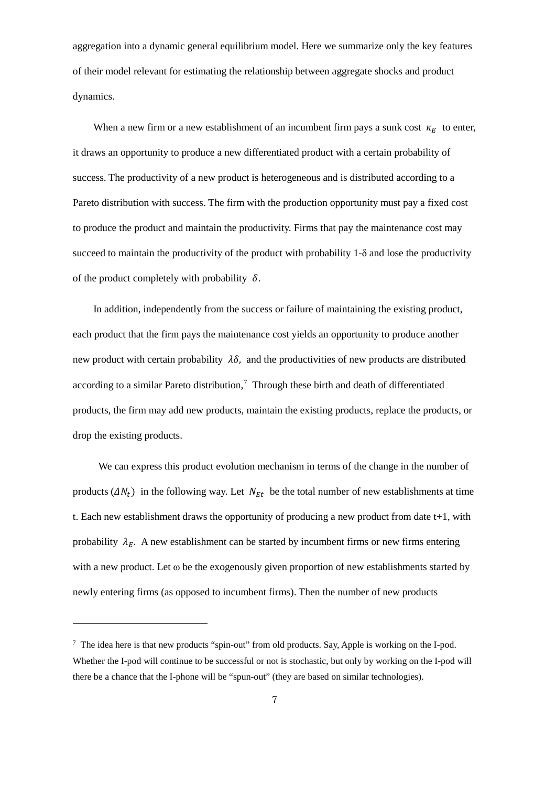aggregation into a dynamic general equilibrium model. Here we summarize only the key features of their model relevant for estimating the relationship between aggregate shocks and product dynamics.

When a new firm or a new establishment of an incumbent firm pays a sunk cost  $\kappa_E$  to enter, it draws an opportunity to produce a new differentiated product with a certain probability of success. The productivity of a new product is heterogeneous and is distributed according to a Pareto distribution with success. The firm with the production opportunity must pay a fixed cost to produce the product and maintain the productivity. Firms that pay the maintenance cost may succeed to maintain the productivity of the product with probability 1- $\delta$  and lose the productivity of the product completely with probability  $\delta$ .

 In addition, independently from the success or failure of maintaining the existing product, each product that the firm pays the maintenance cost yields an opportunity to produce another new product with certain probability  $\lambda \delta$ , and the productivities of new products are distributed according to a similar Pareto distribution,<sup>[7](#page-9-0)</sup> Through these birth and death of differentiated products, the firm may add new products, maintain the existing products, replace the products, or drop the existing products.

 We can express this product evolution mechanism in terms of the change in the number of products  $(\Delta N_t)$  in the following way. Let  $N_{Et}$  be the total number of new establishments at time t. Each new establishment draws the opportunity of producing a new product from date  $t+1$ , with probability  $\lambda_F$ . A new establishment can be started by incumbent firms or new firms entering with a new product. Let  $\omega$  be the exogenously given proportion of new establishments started by newly entering firms (as opposed to incumbent firms). Then the number of new products

1

<sup>7</sup> The idea here is that new products "spin-out" from old products. Say, Apple is working on the I-pod. Whether the I-pod will continue to be successful or not is stochastic, but only by working on the I-pod will there be a chance that the I-phone will be "spun-out" (they are based on similar technologies).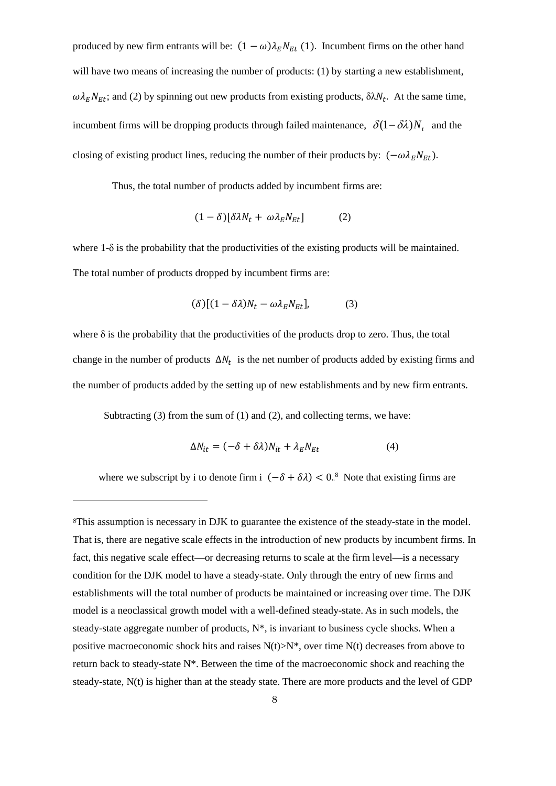produced by new firm entrants will be:  $(1 - \omega) \lambda_E N_{Et}$  (1). Incumbent firms on the other hand will have two means of increasing the number of products: (1) by starting a new establishment,  $\omega \lambda_E N_{Et}$ ; and (2) by spinning out new products from existing products,  $\delta \lambda N_t$ . At the same time, incumbent firms will be dropping products through failed maintenance,  $\delta(1-\delta\lambda)N$ , and the closing of existing product lines, reducing the number of their products by:  $(-\omega \lambda_E N_{Et})$ .

Thus, the total number of products added by incumbent firms are:

$$
(1 - \delta)[\delta \lambda N_t + \omega \lambda_E N_{Et}] \tag{2}
$$

where  $1-\delta$  is the probability that the productivities of the existing products will be maintained. The total number of products dropped by incumbent firms are:

$$
(\delta)[(1 - \delta \lambda)N_t - \omega \lambda_E N_{Et}], \tag{3}
$$

where  $\delta$  is the probability that the productivities of the products drop to zero. Thus, the total change in the number of products  $\Delta N_t$  is the net number of products added by existing firms and the number of products added by the setting up of new establishments and by new firm entrants.

Subtracting  $(3)$  from the sum of  $(1)$  and  $(2)$ , and collecting terms, we have:

1

$$
\Delta N_{it} = (-\delta + \delta \lambda) N_{it} + \lambda_E N_{Et}
$$
\n(4)

<span id="page-7-0"></span>where we subscript by i to denote firm i  $(-\delta + \delta \lambda) < 0$ .<sup>8</sup> Note that existing firms are

<sup>8</sup>This assumption is necessary in DJK to guarantee the existence of the steady-state in the model. That is, there are negative scale effects in the introduction of new products by incumbent firms. In fact, this negative scale effect—or decreasing returns to scale at the firm level—is a necessary condition for the DJK model to have a steady-state. Only through the entry of new firms and establishments will the total number of products be maintained or increasing over time. The DJK model is a neoclassical growth model with a well-defined steady-state. As in such models, the steady-state aggregate number of products,  $N^*$ , is invariant to business cycle shocks. When a positive macroeconomic shock hits and raises  $N(t) > N^*$ , over time  $N(t)$  decreases from above to return back to steady-state N\*. Between the time of the macroeconomic shock and reaching the steady-state, N(t) is higher than at the steady state. There are more products and the level of GDP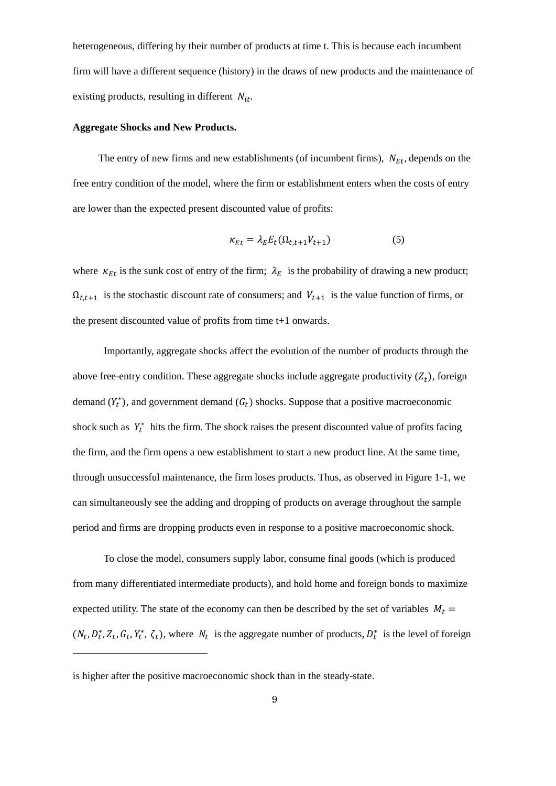heterogeneous, differing by their number of products at time t. This is because each incumbent firm will have a different sequence (history) in the draws of new products and the maintenance of existing products, resulting in different  $N_{it}$ .

## **Aggregate Shocks and New Products.**

The entry of new firms and new establishments (of incumbent firms),  $N_{Et}$ , depends on the free entry condition of the model, where the firm or establishment enters when the costs of entry are lower than the expected present discounted value of profits:

$$
\kappa_{Et} = \lambda_E E_t(\Omega_{t,t+1} V_{t+1})
$$
\n(5)

where  $\kappa_{Et}$  is the sunk cost of entry of the firm;  $\lambda_E$  is the probability of drawing a new product;  $\Omega_{t,t+1}$  is the stochastic discount rate of consumers; and  $V_{t+1}$  is the value function of firms, or the present discounted value of profits from time t+1 onwards.

 Importantly, aggregate shocks affect the evolution of the number of products through the above free-entry condition. These aggregate shocks include aggregate productivity  $(Z_t)$ , foreign demand  $(Y_t^*)$ , and government demand  $(G_t)$  shocks. Suppose that a positive macroeconomic shock such as  $Y_t^*$  hits the firm. The shock raises the present discounted value of profits facing the firm, and the firm opens a new establishment to start a new product line. At the same time, through unsuccessful maintenance, the firm loses products. Thus, as observed in Figure 1-1, we can simultaneously see the adding and dropping of products on average throughout the sample period and firms are dropping products even in response to a positive macroeconomic shock.

 To close the model, consumers supply labor, consume final goods (which is produced from many differentiated intermediate products), and hold home and foreign bonds to maximize expected utility. The state of the economy can then be described by the set of variables  $M_t =$  $(N_t, D_t^*, Z_t, G_t, Y_t^*, \zeta_t)$ , where  $N_t$  is the aggregate number of products,  $D_t^*$  is the level of foreign

1

is higher after the positive macroeconomic shock than in the steady-state.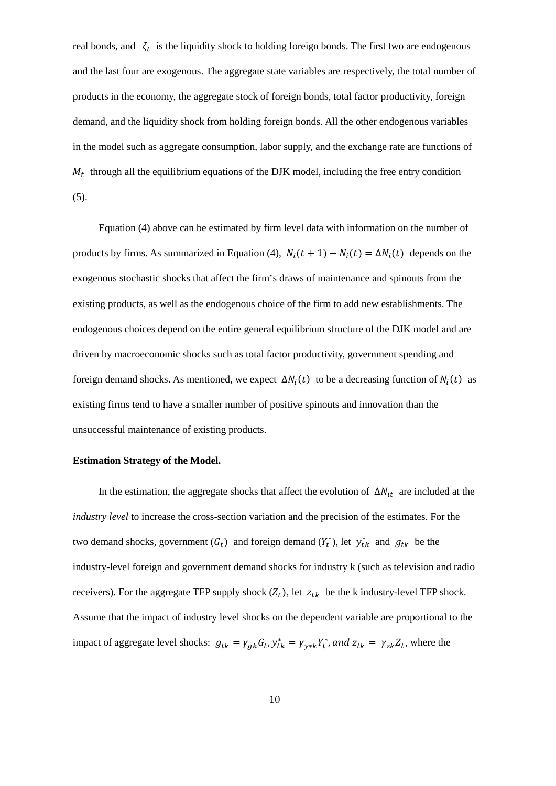real bonds, and  $\zeta_t$  is the liquidity shock to holding foreign bonds. The first two are endogenous and the last four are exogenous. The aggregate state variables are respectively, the total number of products in the economy, the aggregate stock of foreign bonds, total factor productivity, foreign demand, and the liquidity shock from holding foreign bonds. All the other endogenous variables in the model such as aggregate consumption, labor supply, and the exchange rate are functions of  $M_t$  through all the equilibrium equations of the DJK model, including the free entry condition (5).

 Equation (4) above can be estimated by firm level data with information on the number of products by firms. As summarized in Equation (4),  $N_i(t + 1) - N_i(t) = \Delta N_i(t)$  depends on the exogenous stochastic shocks that affect the firm's draws of maintenance and spinouts from the existing products, as well as the endogenous choice of the firm to add new establishments. The endogenous choices depend on the entire general equilibrium structure of the DJK model and are driven by macroeconomic shocks such as total factor productivity, government spending and foreign demand shocks. As mentioned, we expect  $\Delta N_i(t)$  to be a decreasing function of  $N_i(t)$  as existing firms tend to have a smaller number of positive spinouts and innovation than the unsuccessful maintenance of existing products.

#### **Estimation Strategy of the Model.**

<span id="page-9-0"></span>In the estimation, the aggregate shocks that affect the evolution of  $\Delta N_{it}$  are included at the *industry level* to increase the cross-section variation and the precision of the estimates. For the two demand shocks, government  $(G_t)$  and foreign demand  $(Y_t^*)$ , let  $y_{tk}^*$  and  $g_{tk}$  be the industry-level foreign and government demand shocks for industry k (such as television and radio receivers). For the aggregate TFP supply shock  $(Z_t)$ , let  $z_{tk}$  be the k industry-level TFP shock. Assume that the impact of industry level shocks on the dependent variable are proportional to the impact of aggregate level shocks:  $g_{tk} = \gamma_{gk} G_t$ ,  $y_{tk}^* = \gamma_{y*k} Y_t^*$ , and  $z_{tk} = \gamma_{zk} Z_t$ , where the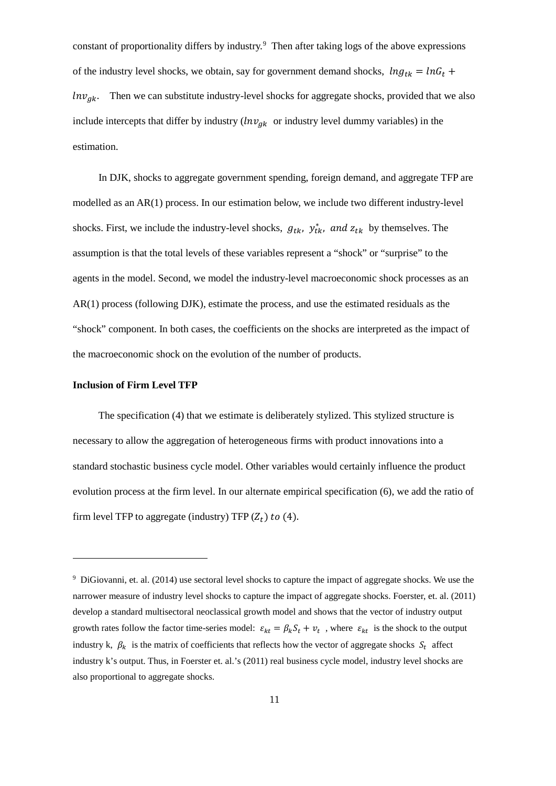constant of proportionality differs by industry.[9](#page-12-0) Then after taking logs of the above expressions of the industry level shocks, we obtain, say for government demand shocks,  $ln g_{tk} = ln G_t +$  $ln v_{gk}$ . Then we can substitute industry-level shocks for aggregate shocks, provided that we also include intercepts that differ by industry ( $ln v_{gk}$  or industry level dummy variables) in the estimation.

 In DJK, shocks to aggregate government spending, foreign demand, and aggregate TFP are modelled as an AR(1) process. In our estimation below, we include two different industry-level shocks. First, we include the industry-level shocks,  $g_{tk}$ ,  $y_{tk}^*$ , and  $z_{tk}$  by themselves. The assumption is that the total levels of these variables represent a "shock" or "surprise" to the agents in the model. Second, we model the industry-level macroeconomic shock processes as an AR(1) process (following DJK), estimate the process, and use the estimated residuals as the "shock" component. In both cases, the coefficients on the shocks are interpreted as the impact of the macroeconomic shock on the evolution of the number of products.

#### **Inclusion of Firm Level TFP**

1

 The specification (4) that we estimate is deliberately stylized. This stylized structure is necessary to allow the aggregation of heterogeneous firms with product innovations into a standard stochastic business cycle model. Other variables would certainly influence the product evolution process at the firm level. In our alternate empirical specification (6), we add the ratio of firm level TFP to aggregate (industry) TFP  $(Z_t)$  to (4).

<sup>9</sup> DiGiovanni, et. al. (2014) use sectoral level shocks to capture the impact of aggregate shocks. We use the narrower measure of industry level shocks to capture the impact of aggregate shocks. Foerster, et. al. (2011) develop a standard multisectoral neoclassical growth model and shows that the vector of industry output growth rates follow the factor time-series model:  $\varepsilon_{kt} = \beta_k S_t + v_t$ , where  $\varepsilon_{kt}$  is the shock to the output industry k,  $\beta_k$  is the matrix of coefficients that reflects how the vector of aggregate shocks  $S_t$  affect industry k's output. Thus, in Foerster et. al.'s (2011) real business cycle model, industry level shocks are also proportional to aggregate shocks.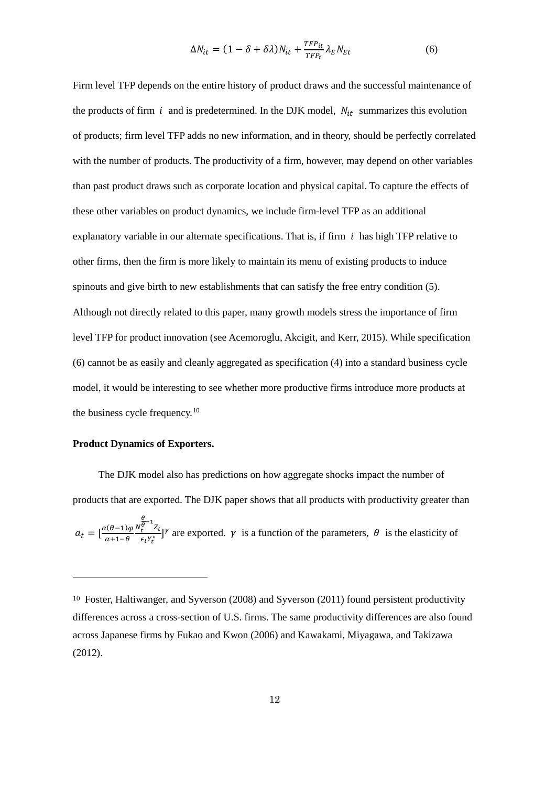$$
\Delta N_{it} = (1 - \delta + \delta \lambda) N_{it} + \frac{TF_{it}}{TF_{t}} \lambda_E N_{Et}
$$
 (6)

Firm level TFP depends on the entire history of product draws and the successful maintenance of the products of firm  $i$  and is predetermined. In the DJK model,  $N_{it}$  summarizes this evolution of products; firm level TFP adds no new information, and in theory, should be perfectly correlated with the number of products. The productivity of a firm, however, may depend on other variables than past product draws such as corporate location and physical capital. To capture the effects of these other variables on product dynamics, we include firm-level TFP as an additional explanatory variable in our alternate specifications. That is, if firm  $i$  has high TFP relative to other firms, then the firm is more likely to maintain its menu of existing products to induce spinouts and give birth to new establishments that can satisfy the free entry condition (5). Although not directly related to this paper, many growth models stress the importance of firm level TFP for product innovation (see Acemoroglu, Akcigit, and Kerr, 2015). While specification (6) cannot be as easily and cleanly aggregated as specification (4) into a standard business cycle model, it would be interesting to see whether more productive firms introduce more products at the business cycle frequency.<sup>[10](#page-14-0)</sup>

## **Product Dynamics of Exporters.**

1

 The DJK model also has predictions on how aggregate shocks impact the number of products that are exported. The DJK paper shows that all products with productivity greater than  $a_t = \left[\frac{\alpha(\theta-1)\varphi}{\alpha+1-\theta}\right]$  $\alpha+1-\theta$  $\boldsymbol{N}$  $\frac{\theta}{\theta}$ <sup>o</sup>  $\frac{1}{2}$ <br>  $\frac{\theta}{\epsilon_t}$ <sup>y</sup><sup>\*</sup> are exported.  $\gamma$  is a function of the parameters,  $\theta$  is the elasticity of

<sup>10</sup> Foster, Haltiwanger, and Syverson (2008) and Syverson (2011) found persistent productivity differences across a cross-section of U.S. firms. The same productivity differences are also found across Japanese firms by Fukao and Kwon (2006) and Kawakami, Miyagawa, and Takizawa (2012).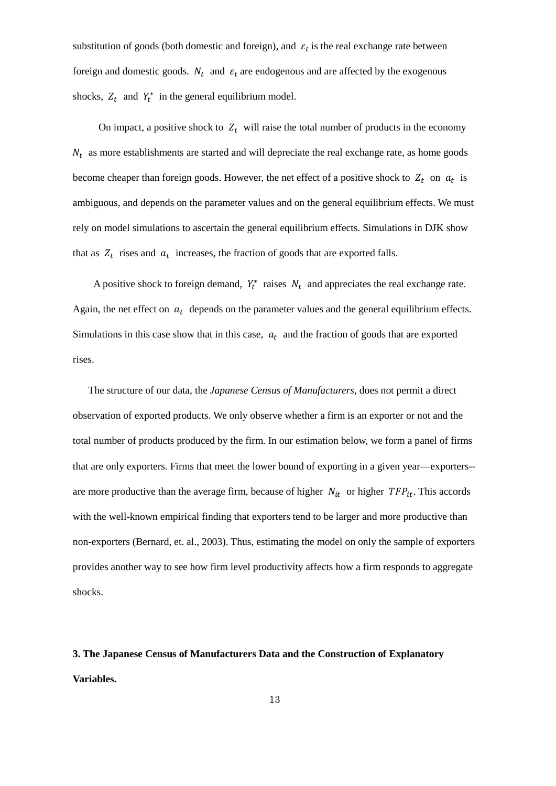substitution of goods (both domestic and foreign), and  $\varepsilon_t$  is the real exchange rate between foreign and domestic goods.  $N_t$  and  $\varepsilon_t$  are endogenous and are affected by the exogenous shocks,  $Z_t$  and  $Y_t^*$  in the general equilibrium model.

On impact, a positive shock to  $Z_t$  will raise the total number of products in the economy  $N_t$  as more establishments are started and will depreciate the real exchange rate, as home goods become cheaper than foreign goods. However, the net effect of a positive shock to  $Z_t$  on  $a_t$  is ambiguous, and depends on the parameter values and on the general equilibrium effects. We must rely on model simulations to ascertain the general equilibrium effects. Simulations in DJK show that as  $Z_t$  rises and  $a_t$  increases, the fraction of goods that are exported falls.

A positive shock to foreign demand,  $Y_t^*$  raises  $N_t$  and appreciates the real exchange rate. Again, the net effect on  $a_t$  depends on the parameter values and the general equilibrium effects. Simulations in this case show that in this case,  $a_t$  and the fraction of goods that are exported rises.

 The structure of our data, the *Japanese Census of Manufacturers*, does not permit a direct observation of exported products. We only observe whether a firm is an exporter or not and the total number of products produced by the firm. In our estimation below, we form a panel of firms that are only exporters. Firms that meet the lower bound of exporting in a given year—exporters- are more productive than the average firm, because of higher  $N_{it}$  or higher  $TFP_{it}$ . This accords with the well-known empirical finding that exporters tend to be larger and more productive than non-exporters (Bernard, et. al., 2003). Thus, estimating the model on only the sample of exporters provides another way to see how firm level productivity affects how a firm responds to aggregate shocks.

# <span id="page-12-0"></span>**3. The Japanese Census of Manufacturers Data and the Construction of Explanatory Variables.**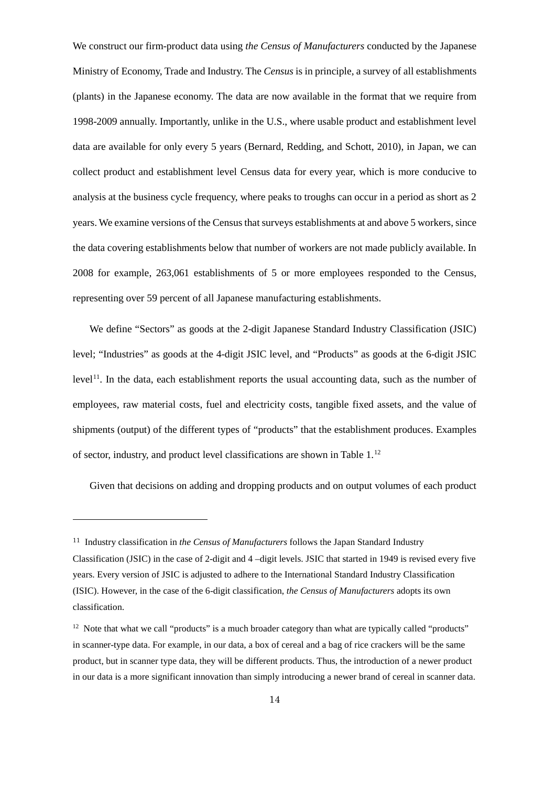We construct our firm-product data using *the Census of Manufacturers* conducted by the Japanese Ministry of Economy, Trade and Industry. The *Census* is in principle, a survey of all establishments (plants) in the Japanese economy. The data are now available in the format that we require from 1998-2009 annually. Importantly, unlike in the U.S., where usable product and establishment level data are available for only every 5 years (Bernard, Redding, and Schott, 2010), in Japan, we can collect product and establishment level Census data for every year, which is more conducive to analysis at the business cycle frequency, where peaks to troughs can occur in a period as short as 2 years. We examine versions of the Census that surveys establishments at and above 5 workers, since the data covering establishments below that number of workers are not made publicly available. In 2008 for example, 263,061 establishments of 5 or more employees responded to the Census, representing over 59 percent of all Japanese manufacturing establishments.

We define "Sectors" as goods at the 2-digit Japanese Standard Industry Classification (JSIC) level; "Industries" as goods at the 4-digit JSIC level, and "Products" as goods at the 6-digit JSIC  $level<sup>11</sup>$ . In the data, each establishment reports the usual accounting data, such as the number of employees, raw material costs, fuel and electricity costs, tangible fixed assets, and the value of shipments (output) of the different types of "products" that the establishment produces. Examples of sector, industry, and product level classifications are shown in Table 1.[12](#page-16-1)

Given that decisions on adding and dropping products and on output volumes of each product

1

<sup>11</sup> Industry classification in *the Census of Manufacturers* follows the Japan Standard Industry Classification (JSIC) in the case of 2-digit and 4 –digit levels. JSIC that started in 1949 is revised every five years. Every version of JSIC is adjusted to adhere to the International Standard Industry Classification (ISIC). However, in the case of the 6-digit classification, *the Census of Manufacturers* adopts its own classification.

 $12$  Note that what we call "products" is a much broader category than what are typically called "products" in scanner-type data. For example, in our data, a box of cereal and a bag of rice crackers will be the same product, but in scanner type data, they will be different products. Thus, the introduction of a newer product in our data is a more significant innovation than simply introducing a newer brand of cereal in scanner data.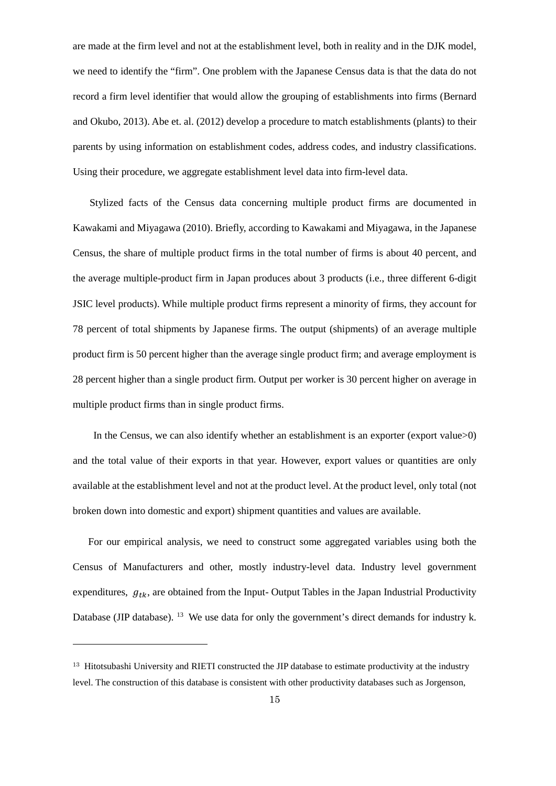are made at the firm level and not at the establishment level, both in reality and in the DJK model, we need to identify the "firm". One problem with the Japanese Census data is that the data do not record a firm level identifier that would allow the grouping of establishments into firms (Bernard and Okubo, 2013). Abe et. al. (2012) develop a procedure to match establishments (plants) to their parents by using information on establishment codes, address codes, and industry classifications. Using their procedure, we aggregate establishment level data into firm-level data.

Stylized facts of the Census data concerning multiple product firms are documented in Kawakami and Miyagawa (2010). Briefly, according to Kawakami and Miyagawa, in the Japanese Census, the share of multiple product firms in the total number of firms is about 40 percent, and the average multiple-product firm in Japan produces about 3 products (i.e., three different 6-digit JSIC level products). While multiple product firms represent a minority of firms, they account for 78 percent of total shipments by Japanese firms. The output (shipments) of an average multiple product firm is 50 percent higher than the average single product firm; and average employment is 28 percent higher than a single product firm. Output per worker is 30 percent higher on average in multiple product firms than in single product firms.

In the Census, we can also identify whether an establishment is an exporter (export value>0) and the total value of their exports in that year. However, export values or quantities are only available at the establishment level and not at the product level. At the product level, only total (not broken down into domestic and export) shipment quantities and values are available.

 For our empirical analysis, we need to construct some aggregated variables using both the Census of Manufacturers and other, mostly industry-level data. Industry level government expenditures,  $g_{tk}$ , are obtained from the Input-Output Tables in the Japan Industrial Productivity Database (JIP database). <sup>[13](#page-17-0)</sup> We use data for only the government's direct demands for industry k.

<span id="page-14-0"></span>1

<sup>&</sup>lt;sup>13</sup> Hitotsubashi University and RIETI constructed the JIP database to estimate productivity at the industry level. The construction of this database is consistent with other productivity databases such as Jorgenson,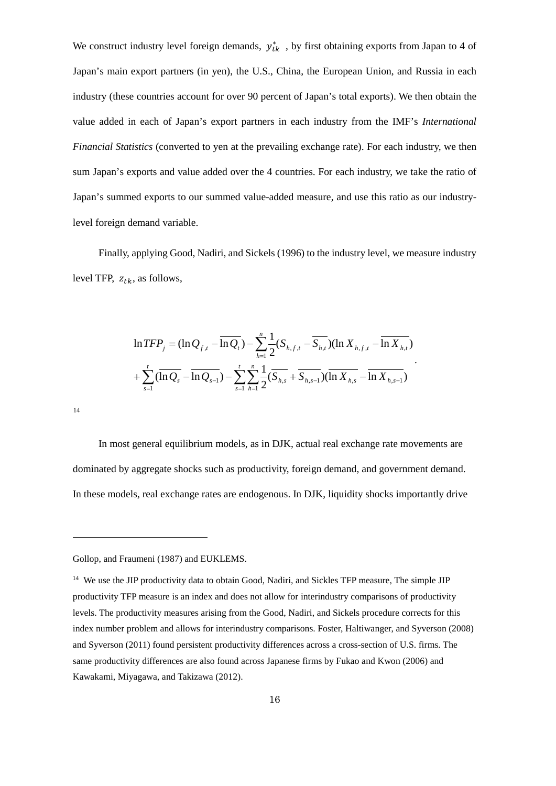We construct industry level foreign demands,  $y_{tk}^*$ , by first obtaining exports from Japan to 4 of Japan's main export partners (in yen), the U.S., China, the European Union, and Russia in each industry (these countries account for over 90 percent of Japan's total exports). We then obtain the value added in each of Japan's export partners in each industry from the IMF's *International Financial Statistics* (converted to yen at the prevailing exchange rate). For each industry, we then sum Japan's exports and value added over the 4 countries. For each industry, we take the ratio of Japan's summed exports to our summed value-added measure, and use this ratio as our industrylevel foreign demand variable.

 Finally, applying Good, Nadiri, and Sickels (1996) to the industry level, we measure industry level TFP,  $z_{tk}$ , as follows,

$$
\ln TFP_j = (\ln Q_{f,t} - \overline{\ln Q_t}) - \sum_{h=1}^n \frac{1}{2} (S_{h,f,t} - \overline{S_{h,t}}) (\ln X_{h,f,t} - \overline{\ln X_{h,t}})
$$
  
+ 
$$
\sum_{s=1}^t (\overline{\ln Q_s} - \overline{\ln Q_{s-1}}) - \sum_{s=1}^t \sum_{h=1}^n \frac{1}{2} (\overline{S_{h,s}} + \overline{S_{h,s-1}}) (\overline{\ln X_{h,s}} - \overline{\ln X_{h,s-1}})
$$

[14](#page-18-0)

1

 In most general equilibrium models, as in DJK, actual real exchange rate movements are dominated by aggregate shocks such as productivity, foreign demand, and government demand. In these models, real exchange rates are endogenous. In DJK, liquidity shocks importantly drive

Gollop, and Fraumeni (1987) and EUKLEMS.

<sup>&</sup>lt;sup>14</sup> We use the JIP productivity data to obtain Good, Nadiri, and Sickles TFP measure, The simple JIP productivity TFP measure is an index and does not allow for interindustry comparisons of productivity levels. The productivity measures arising from the Good, Nadiri, and Sickels procedure corrects for this index number problem and allows for interindustry comparisons. Foster, Haltiwanger, and Syverson (2008) and Syverson (2011) found persistent productivity differences across a cross-section of U.S. firms. The same productivity differences are also found across Japanese firms by Fukao and Kwon (2006) and Kawakami, Miyagawa, and Takizawa (2012).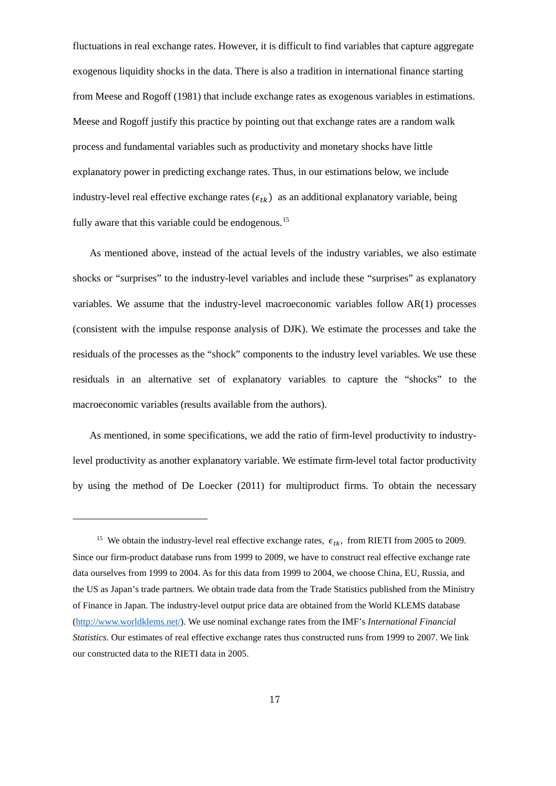fluctuations in real exchange rates. However, it is difficult to find variables that capture aggregate exogenous liquidity shocks in the data. There is also a tradition in international finance starting from Meese and Rogoff (1981) that include exchange rates as exogenous variables in estimations. Meese and Rogoff justify this practice by pointing out that exchange rates are a random walk process and fundamental variables such as productivity and monetary shocks have little explanatory power in predicting exchange rates. Thus, in our estimations below, we include industry-level real effective exchange rates  $(\epsilon_{tk})$  as an additional explanatory variable, being fully aware that this variable could be endogenous.<sup>[15](#page-18-1)</sup>

As mentioned above, instead of the actual levels of the industry variables, we also estimate shocks or "surprises" to the industry-level variables and include these "surprises" as explanatory variables. We assume that the industry-level macroeconomic variables follow AR(1) processes (consistent with the impulse response analysis of DJK). We estimate the processes and take the residuals of the processes as the "shock" components to the industry level variables. We use these residuals in an alternative set of explanatory variables to capture the "shocks" to the macroeconomic variables (results available from the authors).

As mentioned, in some specifications, we add the ratio of firm-level productivity to industrylevel productivity as another explanatory variable. We estimate firm-level total factor productivity by using the method of De Loecker (2011) for multiproduct firms. To obtain the necessary

<span id="page-16-0"></span>1

<span id="page-16-1"></span><sup>&</sup>lt;sup>15</sup> We obtain the industry-level real effective exchange rates,  $\epsilon_{tk}$ , from RIETI from 2005 to 2009. Since our firm-product database runs from 1999 to 2009, we have to construct real effective exchange rate data ourselves from 1999 to 2004. As for this data from 1999 to 2004, we choose China, EU, Russia, and the US as Japan's trade partners. We obtain trade data from the Trade Statistics published from the Ministry of Finance in Japan. The industry-level output price data are obtained from the World KLEMS database [\(http://www.worldklems.net/\)](http://www.worldklems.net/). We use nominal exchange rates from the IMF's *International Financial Statistics*. Our estimates of real effective exchange rates thus constructed runs from 1999 to 2007. We link our constructed data to the RIETI data in 2005.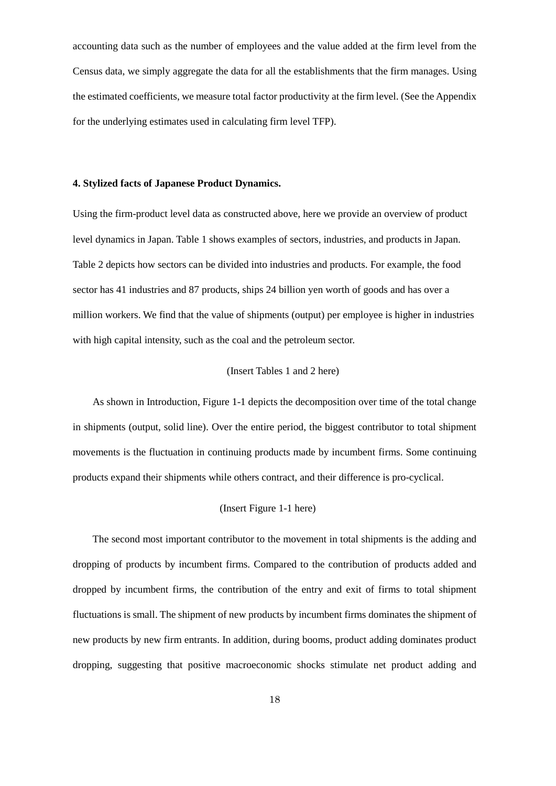accounting data such as the number of employees and the value added at the firm level from the Census data, we simply aggregate the data for all the establishments that the firm manages. Using the estimated coefficients, we measure total factor productivity at the firm level. (See the Appendix for the underlying estimates used in calculating firm level TFP).

#### **4. Stylized facts of Japanese Product Dynamics.**

Using the firm-product level data as constructed above, here we provide an overview of product level dynamics in Japan. Table 1 shows examples of sectors, industries, and products in Japan. Table 2 depicts how sectors can be divided into industries and products. For example, the food sector has 41 industries and 87 products, ships 24 billion yen worth of goods and has over a million workers. We find that the value of shipments (output) per employee is higher in industries with high capital intensity, such as the coal and the petroleum sector.

#### (Insert Tables 1 and 2 here)

As shown in Introduction, Figure 1-1 depicts the decomposition over time of the total change in shipments (output, solid line). Over the entire period, the biggest contributor to total shipment movements is the fluctuation in continuing products made by incumbent firms. Some continuing products expand their shipments while others contract, and their difference is pro-cyclical.

## (Insert Figure 1-1 here)

<span id="page-17-0"></span>The second most important contributor to the movement in total shipments is the adding and dropping of products by incumbent firms. Compared to the contribution of products added and dropped by incumbent firms, the contribution of the entry and exit of firms to total shipment fluctuations is small. The shipment of new products by incumbent firms dominates the shipment of new products by new firm entrants. In addition, during booms, product adding dominates product dropping, suggesting that positive macroeconomic shocks stimulate net product adding and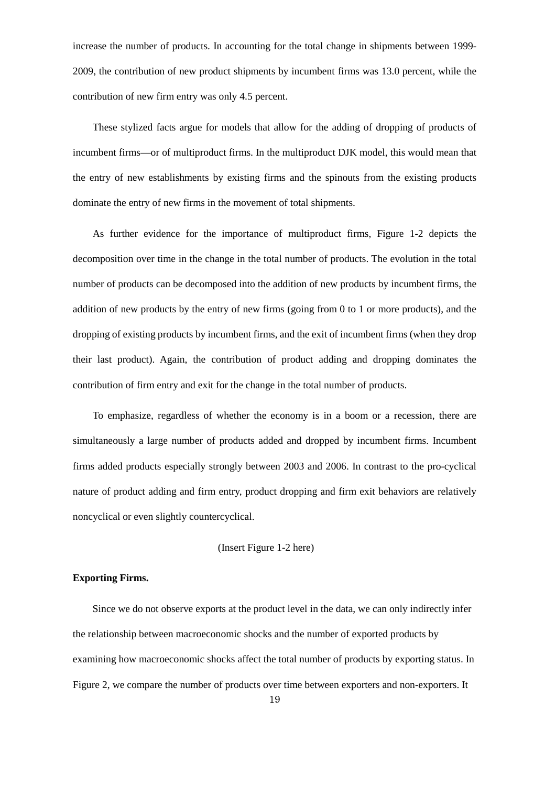increase the number of products. In accounting for the total change in shipments between 1999- 2009, the contribution of new product shipments by incumbent firms was 13.0 percent, while the contribution of new firm entry was only 4.5 percent.

These stylized facts argue for models that allow for the adding of dropping of products of incumbent firms—or of multiproduct firms. In the multiproduct DJK model, this would mean that the entry of new establishments by existing firms and the spinouts from the existing products dominate the entry of new firms in the movement of total shipments.

As further evidence for the importance of multiproduct firms, Figure 1-2 depicts the decomposition over time in the change in the total number of products. The evolution in the total number of products can be decomposed into the addition of new products by incumbent firms, the addition of new products by the entry of new firms (going from 0 to 1 or more products), and the dropping of existing products by incumbent firms, and the exit of incumbent firms (when they drop their last product). Again, the contribution of product adding and dropping dominates the contribution of firm entry and exit for the change in the total number of products.

<span id="page-18-0"></span>To emphasize, regardless of whether the economy is in a boom or a recession, there are simultaneously a large number of products added and dropped by incumbent firms. Incumbent firms added products especially strongly between 2003 and 2006. In contrast to the pro-cyclical nature of product adding and firm entry, product dropping and firm exit behaviors are relatively noncyclical or even slightly countercyclical.

#### (Insert Figure 1-2 here)

#### **Exporting Firms.**

<span id="page-18-1"></span>Since we do not observe exports at the product level in the data, we can only indirectly infer the relationship between macroeconomic shocks and the number of exported products by examining how macroeconomic shocks affect the total number of products by exporting status. In Figure 2, we compare the number of products over time between exporters and non-exporters. It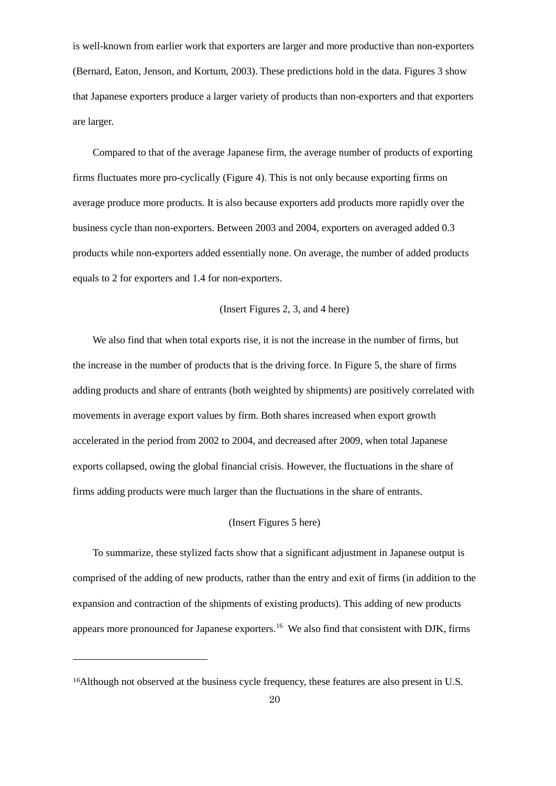is well-known from earlier work that exporters are larger and more productive than non-exporters (Bernard, Eaton, Jenson, and Kortum, 2003). These predictions hold in the data. Figures 3 show that Japanese exporters produce a larger variety of products than non-exporters and that exporters are larger.

Compared to that of the average Japanese firm, the average number of products of exporting firms fluctuates more pro-cyclically (Figure 4). This is not only because exporting firms on average produce more products. It is also because exporters add products more rapidly over the business cycle than non-exporters. Between 2003 and 2004, exporters on averaged added 0.3 products while non-exporters added essentially none. On average, the number of added products equals to 2 for exporters and 1.4 for non-exporters.

## (Insert Figures 2, 3, and 4 here)

We also find that when total exports rise, it is not the increase in the number of firms, but the increase in the number of products that is the driving force. In Figure 5, the share of firms adding products and share of entrants (both weighted by shipments) are positively correlated with movements in average export values by firm. Both shares increased when export growth accelerated in the period from 2002 to 2004, and decreased after 2009, when total Japanese exports collapsed, owing the global financial crisis. However, the fluctuations in the share of firms adding products were much larger than the fluctuations in the share of entrants.

#### (Insert Figures 5 here)

To summarize, these stylized facts show that a significant adjustment in Japanese output is comprised of the adding of new products, rather than the entry and exit of firms (in addition to the expansion and contraction of the shipments of existing products). This adding of new products appears more pronounced for Japanese exporters.<sup>[16](#page-22-0)</sup> We also find that consistent with DJK, firms

1

<sup>16</sup>Although not observed at the business cycle frequency, these features are also present in U.S.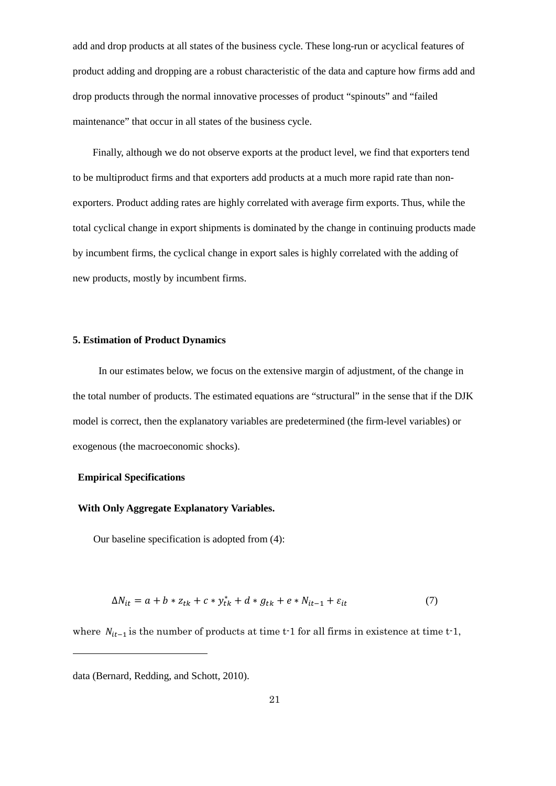add and drop products at all states of the business cycle. These long-run or acyclical features of product adding and dropping are a robust characteristic of the data and capture how firms add and drop products through the normal innovative processes of product "spinouts" and "failed maintenance" that occur in all states of the business cycle.

Finally, although we do not observe exports at the product level, we find that exporters tend to be multiproduct firms and that exporters add products at a much more rapid rate than nonexporters. Product adding rates are highly correlated with average firm exports. Thus, while the total cyclical change in export shipments is dominated by the change in continuing products made by incumbent firms, the cyclical change in export sales is highly correlated with the adding of new products, mostly by incumbent firms.

#### **5. Estimation of Product Dynamics**

 In our estimates below, we focus on the extensive margin of adjustment, of the change in the total number of products. The estimated equations are "structural" in the sense that if the DJK model is correct, then the explanatory variables are predetermined (the firm-level variables) or exogenous (the macroeconomic shocks).

## **Empirical Specifications**

1

## **With Only Aggregate Explanatory Variables.**

Our baseline specification is adopted from (4):

$$
\Delta N_{it} = a + b \times z_{tk} + c \times y_{tk}^* + d \times g_{tk} + e \times N_{it-1} + \varepsilon_{it}
$$
\n<sup>(7)</sup>

where  $N_{it-1}$  is the number of products at time t-1 for all firms in existence at time t-1,

data (Bernard, Redding, and Schott, 2010).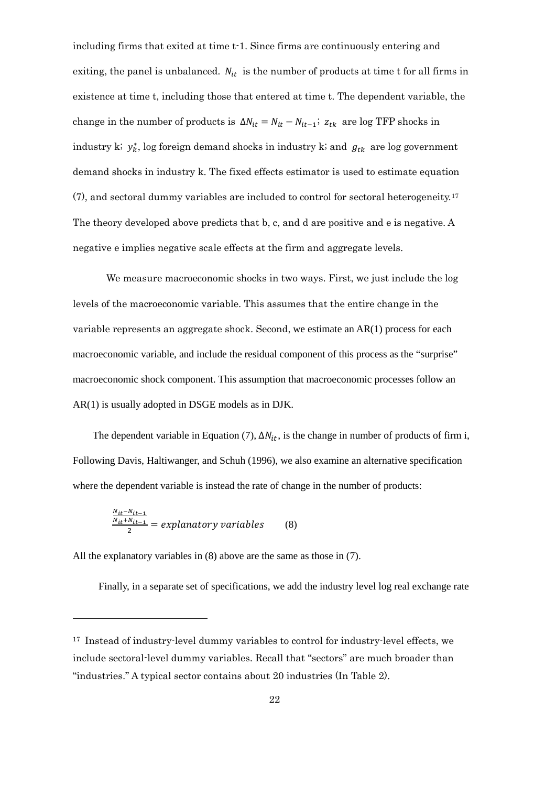including firms that exited at time t-1. Since firms are continuously entering and exiting, the panel is unbalanced.  $N_{it}$  is the number of products at time t for all firms in existence at time t, including those that entered at time t. The dependent variable, the change in the number of products is  $\Delta N_{it} = N_{it} - N_{it-1}$ ;  $z_{tk}$  are log TFP shocks in industry k;  $y_k^*$ , log foreign demand shocks in industry k; and  $g_{tk}$  are log government demand shocks in industry k. The fixed effects estimator is used to estimate equation (7), and sectoral dummy variables are included to control for sectoral heterogeneity.[17](#page-23-0) The theory developed above predicts that b, c, and d are positive and e is negative. A negative e implies negative scale effects at the firm and aggregate levels.

 We measure macroeconomic shocks in two ways. First, we just include the log levels of the macroeconomic variable. This assumes that the entire change in the variable represents an aggregate shock. Second, we estimate an AR(1) process for each macroeconomic variable, and include the residual component of this process as the "surprise" macroeconomic shock component. This assumption that macroeconomic processes follow an AR(1) is usually adopted in DSGE models as in DJK.

The dependent variable in Equation (7),  $\Delta N_{it}$ , is the change in number of products of firm i, Following Davis, Haltiwanger, and Schuh (1996), we also examine an alternative specification where the dependent variable is instead the rate of change in the number of products:

$$
\frac{\frac{N_{it}-N_{it-1}}{N_{it}+N_{it-1}}}{2} = explanationry\ variables
$$
 (8)

1

All the explanatory variables in (8) above are the same as those in (7).

Finally, in a separate set of specifications, we add the industry level log real exchange rate

<sup>&</sup>lt;sup>17</sup> Instead of industry-level dummy variables to control for industry-level effects, we include sectoral-level dummy variables. Recall that "sectors" are much broader than "industries." A typical sector contains about 20 industries (In Table 2).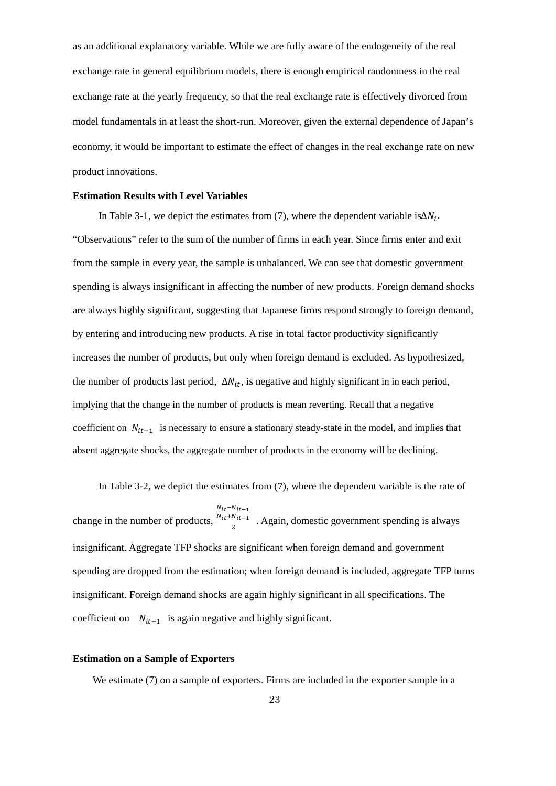as an additional explanatory variable. While we are fully aware of the endogeneity of the real exchange rate in general equilibrium models, there is enough empirical randomness in the real exchange rate at the yearly frequency, so that the real exchange rate is effectively divorced from model fundamentals in at least the short-run. Moreover, given the external dependence of Japan's economy, it would be important to estimate the effect of changes in the real exchange rate on new product innovations.

#### **Estimation Results with Level Variables**

In Table 3-1, we depict the estimates from (7), where the dependent variable is $\Delta N_i$ . "Observations" refer to the sum of the number of firms in each year. Since firms enter and exit from the sample in every year, the sample is unbalanced. We can see that domestic government spending is always insignificant in affecting the number of new products. Foreign demand shocks are always highly significant, suggesting that Japanese firms respond strongly to foreign demand, by entering and introducing new products. A rise in total factor productivity significantly increases the number of products, but only when foreign demand is excluded. As hypothesized, the number of products last period,  $\Delta N_{it}$ , is negative and highly significant in in each period, implying that the change in the number of products is mean reverting. Recall that a negative coefficient on  $N_{it-1}$  is necessary to ensure a stationary steady-state in the model, and implies that absent aggregate shocks, the aggregate number of products in the economy will be declining.

 In Table 3-2, we depict the estimates from (7), where the dependent variable is the rate of change in the number of products,  $N_{it}$ – $N_{it-1}$  $\frac{N_{it}+N_{it-1}}{2}$ . Again, domestic government spending is always insignificant. Aggregate TFP shocks are significant when foreign demand and government spending are dropped from the estimation; when foreign demand is included, aggregate TFP turns insignificant. Foreign demand shocks are again highly significant in all specifications. The coefficient on  $N_{it-1}$  is again negative and highly significant.

## <span id="page-22-0"></span>**Estimation on a Sample of Exporters**

We estimate (7) on a sample of exporters. Firms are included in the exporter sample in a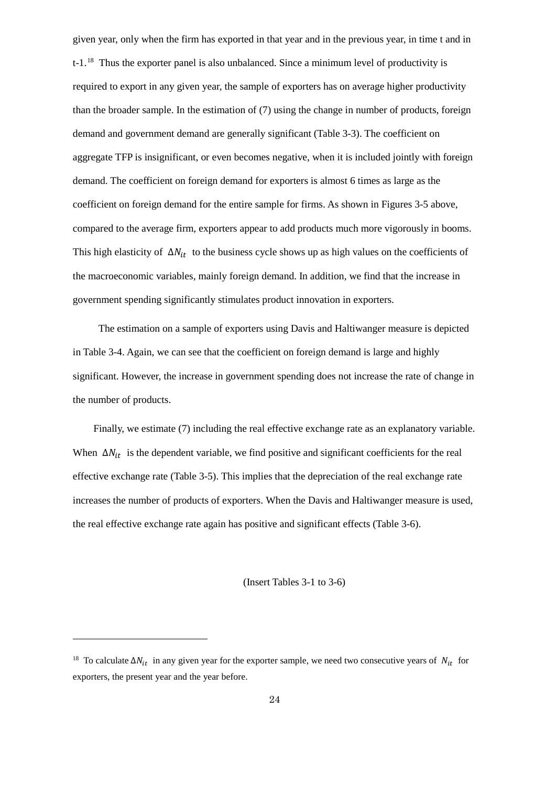given year, only when the firm has exported in that year and in the previous year, in time t and in t-1.[18](#page-25-0) Thus the exporter panel is also unbalanced. Since a minimum level of productivity is required to export in any given year, the sample of exporters has on average higher productivity than the broader sample. In the estimation of (7) using the change in number of products, foreign demand and government demand are generally significant (Table 3-3). The coefficient on aggregate TFP is insignificant, or even becomes negative, when it is included jointly with foreign demand. The coefficient on foreign demand for exporters is almost 6 times as large as the coefficient on foreign demand for the entire sample for firms. As shown in Figures 3-5 above, compared to the average firm, exporters appear to add products much more vigorously in booms. This high elasticity of  $\Delta N_{it}$  to the business cycle shows up as high values on the coefficients of the macroeconomic variables, mainly foreign demand. In addition, we find that the increase in government spending significantly stimulates product innovation in exporters.

 The estimation on a sample of exporters using Davis and Haltiwanger measure is depicted in Table 3-4. Again, we can see that the coefficient on foreign demand is large and highly significant. However, the increase in government spending does not increase the rate of change in the number of products.

 Finally, we estimate (7) including the real effective exchange rate as an explanatory variable. When  $\Delta N_{it}$  is the dependent variable, we find positive and significant coefficients for the real effective exchange rate (Table 3-5). This implies that the depreciation of the real exchange rate increases the number of products of exporters. [W](#page-26-0)hen the Davis and Haltiwanger measure is used, the real effective exchange rate again has positive and significant effects (Table 3-6).

(Insert Tables 3-1 to 3-6)

1

<span id="page-23-0"></span><sup>&</sup>lt;sup>18</sup> To calculate  $\Delta N_{it}$  in any given year for the exporter sample, we need two consecutive years of  $N_{it}$  for exporters, the present year and the year before.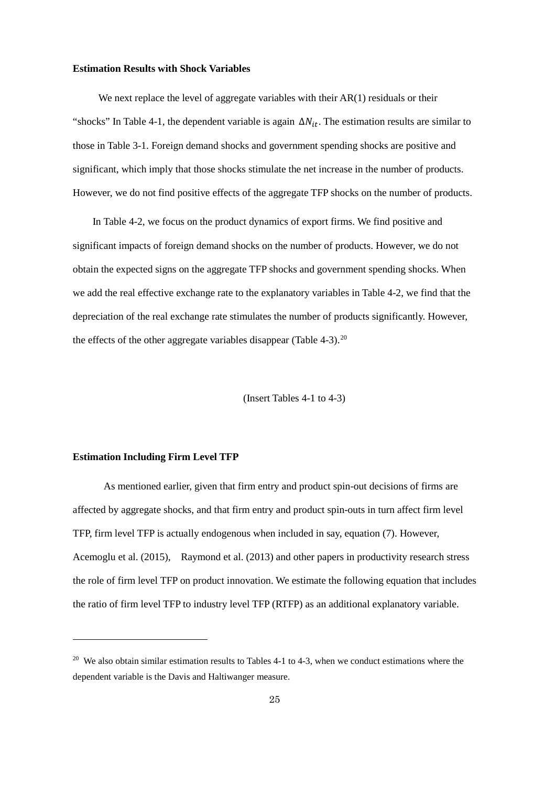#### **Estimation Results with Shock Variables**

We next replace the level of aggregate variables with their AR(1) residuals or their "shocks" In Table 4-1, the dependent variable is again  $\Delta N_{it}$ . The estimation results are similar to those in Table 3-1. Foreign demand shocks and government spending shocks are positive and significant, which imply that those shocks stimulate the net increase in the number of products. However, we do not find positive effects of the aggregate TFP shocks on the number of products.

In Table 4-2, we focus on the product dynamics of export firms. We find positive and significant impacts of foreign demand shocks on the number of products. However, we do not obtain the expected signs on the aggregate TFP shocks and government spending shocks. When we add the real effective exchange rate to the explanatory variables in Table 4-2, we find that the depreciation of the real exchange rate stimulates the number of products significantly. However, the effects of the other aggregate variables disappear (Table  $4-3$ ).<sup>[20](#page-27-0)</sup>

(Insert Tables 4-1 to 4-3)

## **Estimation Including Firm Level TFP**

1

 As mentioned earlier, given that firm entry and product spin-out decisions of firms are affected by aggregate shocks, and that firm entry and product spin-outs in turn affect firm level TFP, firm level TFP is actually endogenous when included in say, equation (7). However, Acemoglu et al. (2015), Raymond et al. (2013) and other papers in productivity research stress the role of firm level TFP on product innovation. We estimate the following equation that includes the ratio of firm level TFP to industry level TFP (RTFP) as an additional explanatory variable.

<sup>&</sup>lt;sup>20</sup> We also obtain similar estimation results to Tables 4-1 to 4-3, when we conduct estimations where the dependent variable is the Davis and Haltiwanger measure.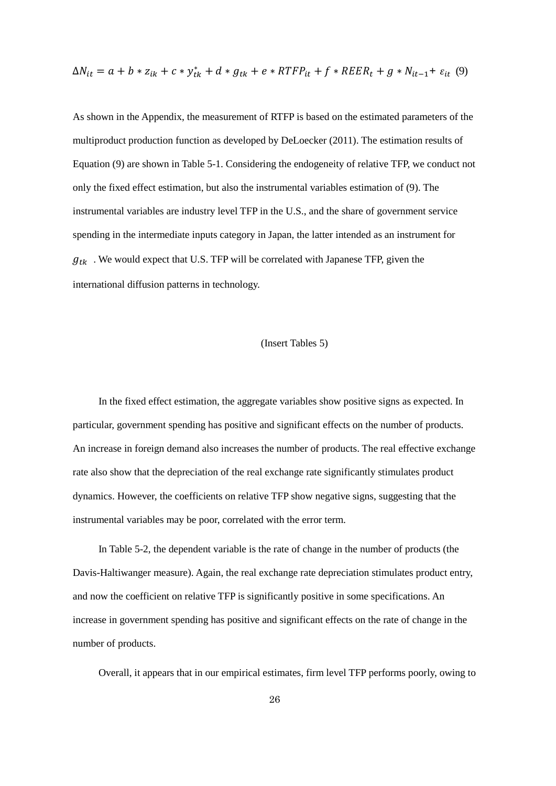$$
\Delta N_{it} = a + b * z_{ik} + c * y_{tk}^* + d * g_{tk} + e * RTFP_{it} + f * REER_t + g * N_{it-1} + \varepsilon_{it} \tag{9}
$$

As shown in the Appendix, the measurement of RTFP is based on the estimated parameters of the multiproduct production function as developed by DeLoecker (2011). The estimation results of Equation (9) are shown in Table 5-1. Considering the endogeneity of relative TFP, we conduct not only the fixed effect estimation, but also the instrumental variables estimation of (9). The instrumental variables are industry level TFP in the U.S., and the share of government service spending in the intermediate inputs category in Japan, the latter intended as an instrument for  $g_{tk}$ . We would expect that U.S. TFP will be correlated with Japanese TFP, given the international diffusion patterns in technology.

### (Insert Tables 5)

 In the fixed effect estimation, the aggregate variables show positive signs as expected. In particular, government spending has positive and significant effects on the number of products. An increase in foreign demand also increases the number of products. The real effective exchange rate also show that the depreciation of the real exchange rate significantly stimulates product dynamics. However, the coefficients on relative TFP show negative signs, suggesting that the instrumental variables may be poor, correlated with the error term.

 In Table 5-2, the dependent variable is the rate of change in the number of products (the Davis-Haltiwanger measure). Again, the real exchange rate depreciation stimulates product entry, and now the coefficient on relative TFP is significantly positive in some specifications. An increase in government spending has positive and significant effects on the rate of change in the number of products.

<span id="page-25-0"></span>Overall, it appears that in our empirical estimates, firm level TFP performs poorly, owing to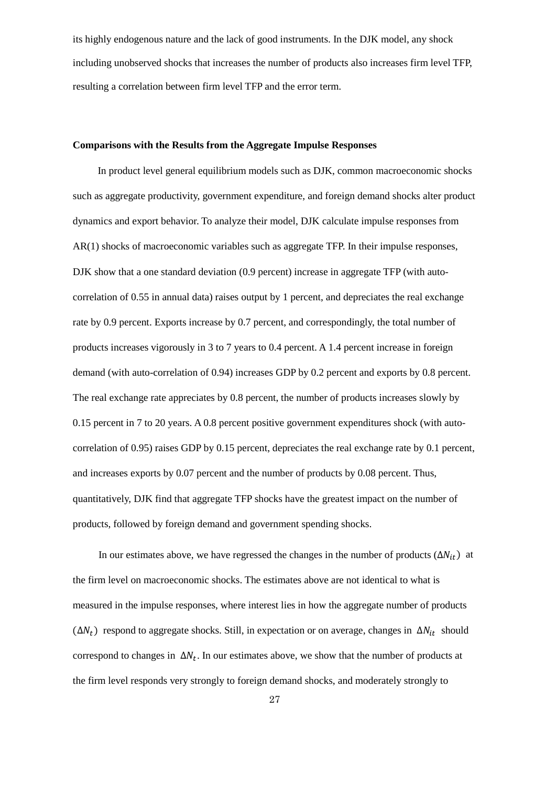its highly endogenous nature and the lack of good instruments. In the DJK model, any shock including unobserved shocks that increases the number of products also increases firm level TFP, resulting a correlation between firm level TFP and the error term.

#### **Comparisons with the Results from the Aggregate Impulse Responses**

In product level general equilibrium models such as DJK, common macroeconomic shocks such as aggregate productivity, government expenditure, and foreign demand shocks alter product dynamics and export behavior. To analyze their model, DJK calculate impulse responses from AR(1) shocks of macroeconomic variables such as aggregate TFP. In their impulse responses, DJK show that a one standard deviation (0.9 percent) increase in aggregate TFP (with autocorrelation of 0.55 in annual data) raises output by 1 percent, and depreciates the real exchange rate by 0.9 percent. Exports increase by 0.7 percent, and correspondingly, the total number of products increases vigorously in 3 to 7 years to 0.4 percent. A 1.4 percent increase in foreign demand (with auto-correlation of 0.94) increases GDP by 0.2 percent and exports by 0.8 percent. The real exchange rate appreciates by 0.8 percent, the number of products increases slowly by 0.15 percent in 7 to 20 years. A 0.8 percent positive government expenditures shock (with autocorrelation of 0.95) raises GDP by 0.15 percent, depreciates the real exchange rate by 0.1 percent, and increases exports by 0.07 percent and the number of products by 0.08 percent. Thus, quantitatively, DJK find that aggregate TFP shocks have the greatest impact on the number of products, followed by foreign demand and government spending shocks.

<span id="page-26-0"></span>In our estimates above, we have regressed the changes in the number of products  $(\Delta N_{it})$  at the firm level on macroeconomic shocks. The estimates above are not identical to what is measured in the impulse responses, where interest lies in how the aggregate number of products  $(\Delta N_t)$  respond to aggregate shocks. Still, in expectation or on average, changes in  $\Delta N_{it}$  should correspond to changes in  $\Delta N_t$ . In our estimates above, we show that the number of products at the firm level responds very strongly to foreign demand shocks, and moderately strongly to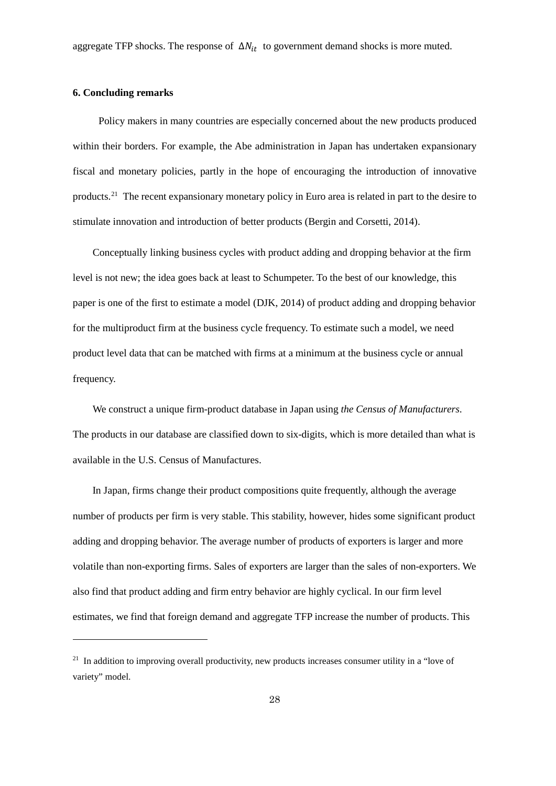#### **6. Concluding remarks**

1

 Policy makers in many countries are especially concerned about the new products produced within their borders. For example, the Abe administration in Japan has undertaken expansionary fiscal and monetary policies, partly in the hope of encouraging the introduction of innovative products.[21](#page-30-0) The recent expansionary monetary policy in Euro area is related in part to the desire to stimulate innovation and introduction of better products (Bergin and Corsetti, 2014).

Conceptually linking business cycles with product adding and dropping behavior at the firm level is not new; the idea goes back at least to Schumpeter. To the best of our knowledge, this paper is one of the first to estimate a model (DJK, 2014) of product adding and dropping behavior for the multiproduct firm at the business cycle frequency. To estimate such a model, we need product level data that can be matched with firms at a minimum at the business cycle or annual frequency.

We construct a unique firm-product database in Japan using *the Census of Manufacturers*. The products in our database are classified down to six-digits, which is more detailed than what is available in the U.S. Census of Manufactures.

In Japan, firms change their product compositions quite frequently, although the average number of products per firm is very stable. This stability, however, hides some significant product adding and dropping behavior. The average number of products of exporters is larger and more volatile than non-exporting firms. Sales of exporters are larger than the sales of non-exporters. We also find that product adding and firm entry behavior are highly cyclical. In our firm level estimates, we find that foreign demand and aggregate TFP increase the number of products. This

<span id="page-27-0"></span><sup>&</sup>lt;sup>21</sup> In addition to improving overall productivity, new products increases consumer utility in a "love of variety" model.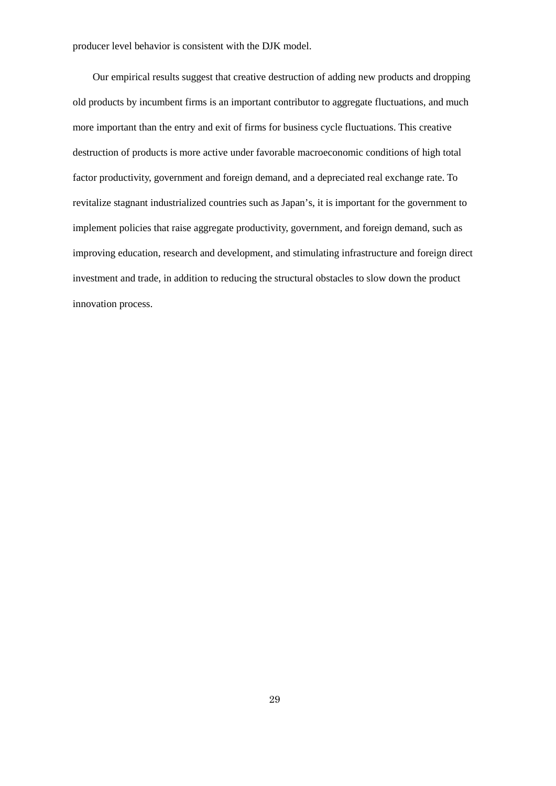producer level behavior is consistent with the DJK model.

Our empirical results suggest that creative destruction of adding new products and dropping old products by incumbent firms is an important contributor to aggregate fluctuations, and much more important than the entry and exit of firms for business cycle fluctuations. This creative destruction of products is more active under favorable macroeconomic conditions of high total factor productivity, government and foreign demand, and a depreciated real exchange rate. To revitalize stagnant industrialized countries such as Japan's, it is important for the government to implement policies that raise aggregate productivity, government, and foreign demand, such as improving education, research and development, and stimulating infrastructure and foreign direct investment and trade, in addition to reducing the structural obstacles to slow down the product innovation process.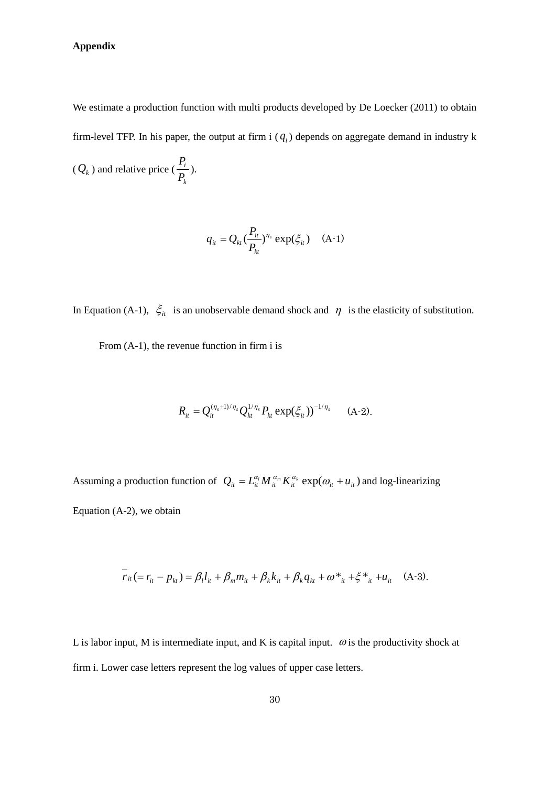## **Appendix**

We estimate a production function with multi products developed by De Loecker (2011) to obtain firm-level TFP. In his paper, the output at firm i  $(q_i)$  depends on aggregate demand in industry k

 $(Q_k)$  and relative price ( *k i P*  $\frac{P_i}{P_i}$ ).

$$
q_{it} = Q_{kt} \left(\frac{P_{it}}{P_{kt}}\right)^{\eta_s} \exp(\xi_{it}) \quad \text{(A-1)}
$$

In Equation (A-1),  $\xi$ <sup>*i*</sup> is an unobservable demand shock and  $\eta$  is the elasticity of substitution.

From (A-1), the revenue function in firm i is

$$
R_{it} = Q_{it}^{(\eta_s+1)/\eta_s} Q_{kt}^{1/\eta_s} P_{kt} \exp(\xi_{it}))^{-1/\eta_s} \qquad (A-2).
$$

Assuming a production function of  $Q_{it} = L_{it}^{\alpha_l} M_{it}^{\alpha_m} K_{it}^{\alpha_k} \exp(\omega_{it} + u_{it})$  and log-linearizing Equation (A-2), we obtain

$$
r_{it} (= r_{it} - p_{kt}) = \beta_l l_{it} + \beta_m m_{it} + \beta_k k_{it} + \beta_k q_{kt} + \omega^*{}_{it} + \xi^*{}_{it} + u_{it} \quad (A-3).
$$

L is labor input, M is intermediate input, and K is capital input.  $\omega$  is the productivity shock at firm i. Lower case letters represent the log values of upper case letters.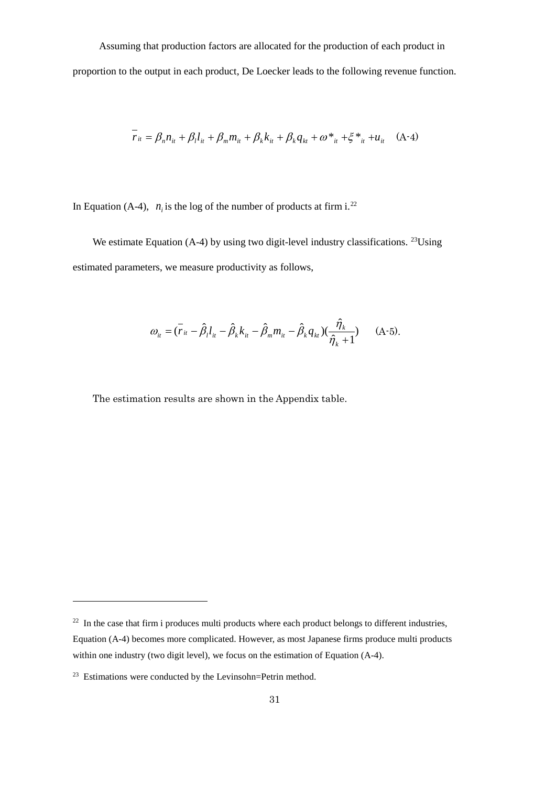Assuming that production factors are allocated for the production of each product in proportion to the output in each product, De Loecker leads to the following revenue function.

$$
r_{it} = \beta_n n_{it} + \beta_l l_{it} + \beta_m m_{it} + \beta_k k_{it} + \beta_k q_{kt} + \omega^*_{it} + \xi^*_{it} + u_{it} \quad (A-4)
$$

In Equation (A-4),  $n_i$  is the log of the number of products at firm i.<sup>22</sup>

 $\overline{\phantom{a}}$ 

We estimate Equation (A-4) by using two digit-level industry classifications. <sup>[23](#page-34-1)</sup>Using estimated parameters, we measure productivity as follows,

$$
\omega_{it} = (\bar{r}_{it} - \hat{\beta}_l l_{it} - \hat{\beta}_k k_{it} - \hat{\beta}_m m_{it} - \hat{\beta}_k q_{kt}) (\frac{\hat{\eta}_k}{\hat{\eta}_k + 1})
$$
 (A-5).

The estimation results are shown in the Appendix table.

1

 $22$  In the case that firm i produces multi products where each product belongs to different industries, Equation (A-4) becomes more complicated. However, as most Japanese firms produce multi products within one industry (two digit level), we focus on the estimation of Equation (A-4).

<span id="page-30-0"></span> $23$  Estimations were conducted by the Levinsohn=Petrin method.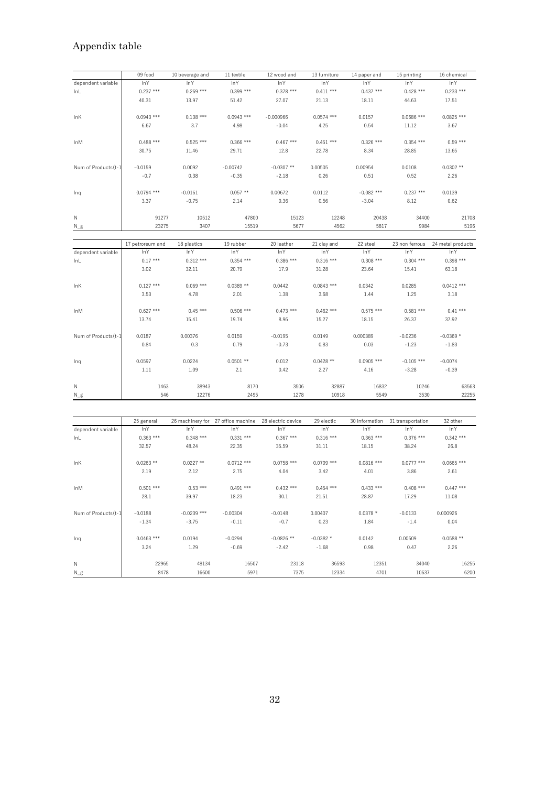# Appendix table

|                      | 09 food          | 10 beverage and | 11 textile                         | 12 wood and        | 13 furniture | 14 paper and   | 15 printing       | 16 chemical       |
|----------------------|------------------|-----------------|------------------------------------|--------------------|--------------|----------------|-------------------|-------------------|
| dependent variable   | <b>InY</b>       | <b>InY</b>      | <b>InY</b>                         | <b>InY</b>         | <b>InY</b>   | <b>InY</b>     | <b>InY</b>        | InY               |
| InL                  | $0.237***$       | $0.269$ ***     | $0.399$ ***                        | $0.378$ ***        | $0.411***$   | $0.437***$     | $0.428$ ***       | $0.233***$        |
|                      | 40.31            | 13.97           | 51.42                              | 27.07              | 21.13        | 18.11          | 44.63             | 17.51             |
| <b>InK</b>           | $0.0943$ ***     | $0.138***$      | $0.0943$ ***                       | $-0.000966$        | $0.0574$ *** | 0.0157         | $0.0686$ ***      | $0.0825$ ***      |
|                      | 6.67             | 3.7             | 4.98                               | $-0.04$            | 4.25         | 0.54           | 11.12             | 3.67              |
| InM                  | $0.488$ ***      | $0.525***$      | $0.366$ ***                        | $0.467$ ***        | $0.451$ ***  | $0.326$ ***    | $0.354$ ***       | $0.59***$         |
|                      | 30.75            | 11.46           | 29.71                              | 12.8               | 22.78        | 8.34           | 28.85             | 13.65             |
| Num of Products (t-1 | $-0.0159$        | 0.0092          | $-0.00742$                         | $-0.0307$ **       | 0.00505      | 0.00954        | 0.0108            | $0.0302**$        |
|                      | $-0.7$           | 0.38            | $-0.35$                            | $-2.18$            | 0.26         | 0.51           | 0.52              | 2.26              |
| Inq                  | $0.0794$ ***     | $-0.0161$       | $0.057**$                          | 0.00672            | 0.0112       | $-0.082$ ***   | $0.237***$        | 0.0139            |
|                      | 3.37             | $-0.75$         | 2.14                               | 0.36               | 0.56         | $-3.04$        | 8.12              | 0.62              |
| Ν                    | 91277            | 10512           | 47800                              | 15123              | 12248        | 20438          | 34400             | 21708             |
| $N_g$                | 23275            | 3407            | 15519                              | 5677               | 4562         | 5817           | 9984              | 5196              |
|                      |                  |                 |                                    |                    |              |                |                   |                   |
|                      | 17 petroreum and | 18 plastics     | 19 rubber                          | 20 leather         | 21 clay and  | 22 steel       | 23 non ferrous    | 24 metal products |
| dependent variable   | InY              | InY             | <b>InY</b>                         | <b>InY</b>         | <b>InY</b>   | <b>InY</b>     | <b>InY</b>        | <b>InY</b>        |
| InL                  | $0.17***$        | $0.312***$      | $0.354$ ***                        | $0.386$ ***        | $0.316***$   | $0.308$ ***    | $0.304$ ***       | $0.398***$        |
|                      | 3.02             | 32.11           | 20.79                              | 17.9               | 31.28        | 23.64          | 15.41             | 63.18             |
| InK                  | $0.127$ ***      | $0.069$ ***     | $0.0389**$                         | 0.0442             | $0.0843$ *** | 0.0342         | 0.0285            | $0.0412$ ***      |
|                      | 3.53             | 4.78            | 2.01                               | 1.38               | 3.68         | 1.44           | 1.25              | 3.18              |
| InM                  | $0.627$ ***      | $0.45***$       | $0.506$ ***                        | $0.473$ ***        | $0.462$ ***  | $0.575$ ***    | $0.581$ ***       | $0.41***$         |
|                      | 13.74            | 15.41           | 19.74                              | 8.96               | 15.27        | 18.15          | 26.37             | 37.92             |
| Num of Products (t-1 | 0.0187           | 0.00376         | 0.0159                             | $-0.0195$          | 0.0149       | 0.000389       | $-0.0236$         | $-0.0369*$        |
|                      | 0.84             | 0.3             | 0.79                               | $-0.73$            | 0.83         | 0.03           | $-1.23$           | $-1.83$           |
| Inq                  | 0.0597           | 0.0224          | $0.0501**$                         | 0.012              | $0.0428**$   | $0.0905$ ***   | $-0.105$ ***      | $-0.0074$         |
|                      | 1.11             | 1.09            | 2.1                                | 0.42               | 2.27         | 4.16           | $-3.28$           | $-0.39$           |
| Ν                    | 1463             | 38943           | 8170                               | 3506               | 32887        | 16832          | 10246             | 63563             |
| $N_g$                | 546              | 12276           | 2495                               | 1278               | 10918        | 5549           | 3530              | 22255             |
|                      |                  |                 |                                    |                    |              |                |                   |                   |
|                      | 25 general       |                 | 26 machinery for 27 office machine | 28 electric device | 29 electic   | 30 information | 31 transportation | 32 other          |
|                      |                  |                 |                                    |                    |              |                |                   |                   |

|                      | 25 general   |               | 26 machinery for 27 office machine | 28 electric device | 29 electic   | 30 information | 31 transportation | 32 other     |
|----------------------|--------------|---------------|------------------------------------|--------------------|--------------|----------------|-------------------|--------------|
| dependent variable   | InY          | lnY           | lnY                                | <b>InY</b>         | <b>InY</b>   | <b>InY</b>     | <b>InY</b>        | <b>InY</b>   |
| lnL                  | $0.363***$   | $0.348***$    | $0.331***$                         | $0.367$ ***        | $0.316***$   | $0.363$ ***    | $0.376$ ***       | $0.342***$   |
|                      | 32.57        | 48.24         | 22.35                              | 35.59              | 31.11        | 18.15          | 38.24             | 26.8         |
| <b>InK</b>           | $0.0263$ **  | $0.0227**$    | $0.0712$ ***                       | $0.0758$ ***       | $0.0709$ *** | $0.0816$ ***   | $0.0777$ ***      | $0.0665$ *** |
|                      | 2.19         | 2.12          | 2.75                               | 4.04               | 3.42         | 4.01           | 3.86              | 2.61         |
| InM                  | $0.501$ ***  | $0.53***$     | $0.491$ ***                        | $0.432$ ***        | $0.454$ ***  | $0.433***$     | $0.408$ ***       | $0.447***$   |
|                      | 28.1         | 39.97         | 18.23                              | 30.1               | 21.51        | 28.87          | 17.29             | 11.08        |
| Num of Products (t-1 | $-0.0188$    | $-0.0239$ *** | $-0.00304$                         | $-0.0148$          | 0.00407      | $0.0378*$      | $-0.0133$         | 0.000926     |
|                      | $-1.34$      | $-3.75$       | $-0.11$                            | $-0.7$             | 0.23         | 1.84           | $-1.4$            | 0.04         |
| Ing                  | $0.0463$ *** | 0.0194        | $-0.0294$                          | $-0.0826$ **       | $-0.0382*$   | 0.0142         | 0.00609           | $0.0588**$   |
|                      | 3.24         | 1.29          | $-0.69$                            | $-2.42$            | $-1.68$      | 0.98           | 0.47              | 2.26         |
| N                    | 22965        | 48134         | 16507                              | 23118              | 36593        | 12351          | 34040             | 16255        |
| $N_g$                | 8478         | 16600         | 5971                               | 7375               | 12334        | 4701           | 10637             | 6200         |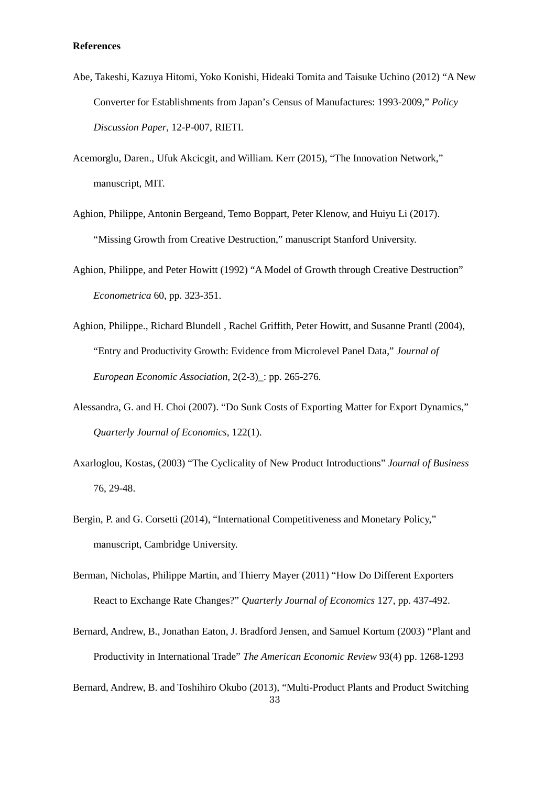## **References**

- Abe, Takeshi, Kazuya Hitomi, Yoko Konishi, Hideaki Tomita and Taisuke Uchino (2012) "A New Converter for Establishments from Japan's Census of Manufactures: 1993-2009," *Policy Discussion Paper*, 12-P-007, RIETI.
- Acemorglu, Daren., Ufuk Akcicgit, and William. Kerr (2015), "The Innovation Network," manuscript, MIT.
- Aghion, Philippe, Antonin Bergeand, Temo Boppart, Peter Klenow, and Huiyu Li (2017). "Missing Growth from Creative Destruction," manuscript Stanford University.
- Aghion, Philippe, and Peter Howitt (1992) "A Model of Growth through Creative Destruction" *Econometrica* 60, pp. 323-351.
- Aghion, Philippe., Richard Blundell , Rachel Griffith, Peter Howitt, and Susanne Prantl (2004), "Entry and Productivity Growth: Evidence from Microlevel Panel Data," *Journal of European Economic Association,* 2(2-3)\_: pp. 265-276*.*
- Alessandra, G. and H. Choi (2007). "Do Sunk Costs of Exporting Matter for Export Dynamics," *Quarterly Journal of Economics,* 122(1).
- Axarloglou, Kostas, (2003) "The Cyclicality of New Product Introductions" *Journal of Business* 76, 29-48.
- Bergin, P. and G. Corsetti (2014), "International Competitiveness and Monetary Policy," manuscript, Cambridge University.
- Berman, Nicholas, Philippe Martin, and Thierry Mayer (2011) "How Do Different Exporters React to Exchange Rate Changes?" *Quarterly Journal of Economics* 127, pp. 437-492.
- Bernard, Andrew, B., Jonathan Eaton, J. Bradford Jensen, and Samuel Kortum (2003) "Plant and Productivity in International Trade" *The American Economic Review* 93(4) pp. 1268-1293
- 33 Bernard, Andrew, B. and Toshihiro Okubo (2013), "Multi-Product Plants and Product Switching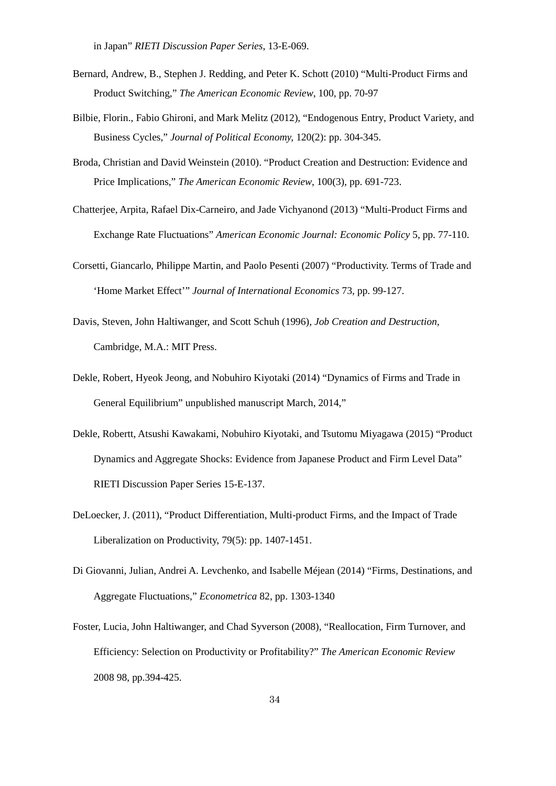in Japan" *RIETI Discussion Paper Series*, 13-E-069.

- Bernard, Andrew, B., Stephen J. Redding, and Peter K. Schott (2010) "Multi-Product Firms and Product Switching," *The American Economic Review*, 100, pp. 70-97
- Bilbie, Florin., Fabio Ghironi, and Mark Melitz (2012), "Endogenous Entry, Product Variety, and Business Cycles," *Journal of Political Economy,* 120(2): pp. 304-345.
- Broda, Christian and David Weinstein (2010). "Product Creation and Destruction: Evidence and Price Implications," *The American Economic Review*, 100(3), pp. 691-723.
- Chatterjee, Arpita, Rafael Dix-Carneiro, and Jade Vichyanond (2013) "Multi-Product Firms and Exchange Rate Fluctuations" *American Economic Journal: Economic Policy* 5, pp. 77-110.
- Corsetti, Giancarlo, Philippe Martin, and Paolo Pesenti (2007) "Productivity. Terms of Trade and 'Home Market Effect'" *Journal of International Economics* 73, pp. 99-127.
- Davis, Steven, John Haltiwanger, and Scott Schuh (1996), *Job Creation and Destruction,* Cambridge, M.A.: MIT Press.
- Dekle, Robert, Hyeok Jeong, and Nobuhiro Kiyotaki (2014) "Dynamics of Firms and Trade in General Equilibrium" unpublished manuscript March, 2014,"
- Dekle, Robertt, Atsushi Kawakami, Nobuhiro Kiyotaki, and Tsutomu Miyagawa (2015) "Product Dynamics and Aggregate Shocks: Evidence from Japanese Product and Firm Level Data" RIETI Discussion Paper Series 15-E-137.
- DeLoecker, J. (2011), "Product Differentiation, Multi-product Firms, and the Impact of Trade Liberalization on Productivity, 79(5): pp. 1407-1451.
- Di Giovanni, Julian, Andrei A. Levchenko, and Isabelle Méjean (2014) "Firms, Destinations, and Aggregate Fluctuations," *Econometrica* 82, pp. 1303-1340
- Foster, Lucia, John Haltiwanger, and Chad Syverson (2008), "Reallocation, Firm Turnover, and Efficiency: Selection on Productivity or Profitability?" *The American Economic Review* 2008 98, pp.394-425.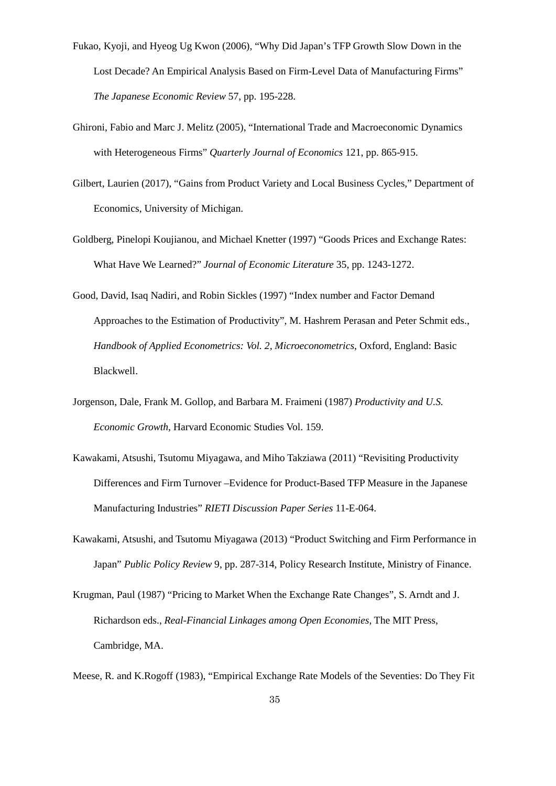- Fukao, Kyoji, and Hyeog Ug Kwon (2006), "Why Did Japan's TFP Growth Slow Down in the Lost Decade? An Empirical Analysis Based on Firm-Level Data of Manufacturing Firms" *The Japanese Economic Review* 57, pp. 195-228.
- Ghironi, Fabio and Marc J. Melitz (2005), "International Trade and Macroeconomic Dynamics with Heterogeneous Firms" *Quarterly Journal of Economics* 121, pp. 865-915.
- Gilbert, Laurien (2017), "Gains from Product Variety and Local Business Cycles," Department of Economics, University of Michigan.
- Goldberg, Pinelopi Koujianou, and Michael Knetter (1997) "Goods Prices and Exchange Rates: What Have We Learned?" *Journal of Economic Literature* 35, pp. 1243-1272.
- Good, David, Isaq Nadiri, and Robin Sickles (1997) "Index number and Factor Demand Approaches to the Estimation of Productivity", M. Hashrem Perasan and Peter Schmit eds., *Handbook of Applied Econometrics: Vol. 2, Microeconometrics*, Oxford, England: Basic Blackwell.
- Jorgenson, Dale, Frank M. Gollop, and Barbara M. Fraimeni (1987) *Productivity and U.S. Economic Growth*, Harvard Economic Studies Vol. 159.
- Kawakami, Atsushi, Tsutomu Miyagawa, and Miho Takziawa (2011) "Revisiting Productivity Differences and Firm Turnover –Evidence for Product-Based TFP Measure in the Japanese Manufacturing Industries" *RIETI Discussion Paper Series* 11-E-064.
- Kawakami, Atsushi, and Tsutomu Miyagawa (2013) "Product Switching and Firm Performance in Japan" *Public Policy Review* 9, pp. 287-314, Policy Research Institute, Ministry of Finance.
- <span id="page-34-0"></span>Krugman, Paul (1987) "Pricing to Market When the Exchange Rate Changes", S. Arndt and J. Richardson eds., *Real-Financial Linkages among Open Economies*, The MIT Press, Cambridge, MA.

<span id="page-34-1"></span>Meese, R. and K.Rogoff (1983), "Empirical Exchange Rate Models of the Seventies: Do They Fit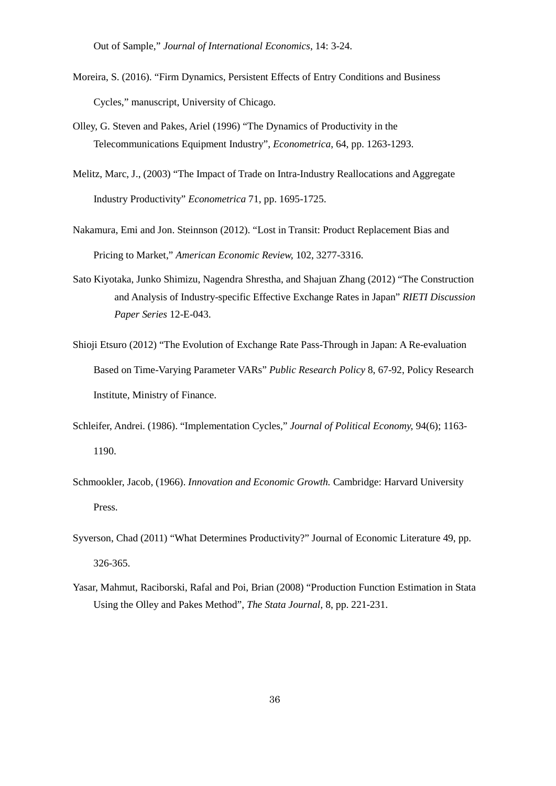Out of Sample," *Journal of International Economics*, 14: 3-24.

- Moreira, S. (2016). "Firm Dynamics, Persistent Effects of Entry Conditions and Business Cycles," manuscript, University of Chicago.
- Olley, G. Steven and Pakes, Ariel (1996) "The Dynamics of Productivity in the Telecommunications Equipment Industry", *Econometrica*, 64, pp. 1263-1293.
- Melitz, Marc, J., (2003) "The Impact of Trade on Intra-Industry Reallocations and Aggregate Industry Productivity" *Econometrica* 71, pp. 1695-1725.
- Nakamura, Emi and Jon. Steinnson (2012). "Lost in Transit: Product Replacement Bias and Pricing to Market," *American Economic Review,* 102, 3277-3316.
- Sato Kiyotaka, Junko Shimizu, Nagendra Shrestha, and Shajuan Zhang (2012) "The Construction and Analysis of Industry-specific Effective Exchange Rates in Japan" *RIETI Discussion Paper Series* 12-E-043.
- Shioji Etsuro (2012) "The Evolution of Exchange Rate Pass-Through in Japan: A Re-evaluation Based on Time-Varying Parameter VARs" *Public Research Policy* 8, 67-92, Policy Research Institute, Ministry of Finance.
- Schleifer, Andrei. (1986). "Implementation Cycles," *Journal of Political Economy,* 94(6); 1163- 1190.
- Schmookler, Jacob, (1966). *Innovation and Economic Growth.* Cambridge: Harvard University Press.
- Syverson, Chad (2011) "What Determines Productivity?" Journal of Economic Literature 49, pp. 326-365.
- Yasar, Mahmut, Raciborski, Rafal and Poi, Brian (2008) "Production Function Estimation in Stata Using the Olley and Pakes Method", *The Stata Journal*, 8, pp. 221-231.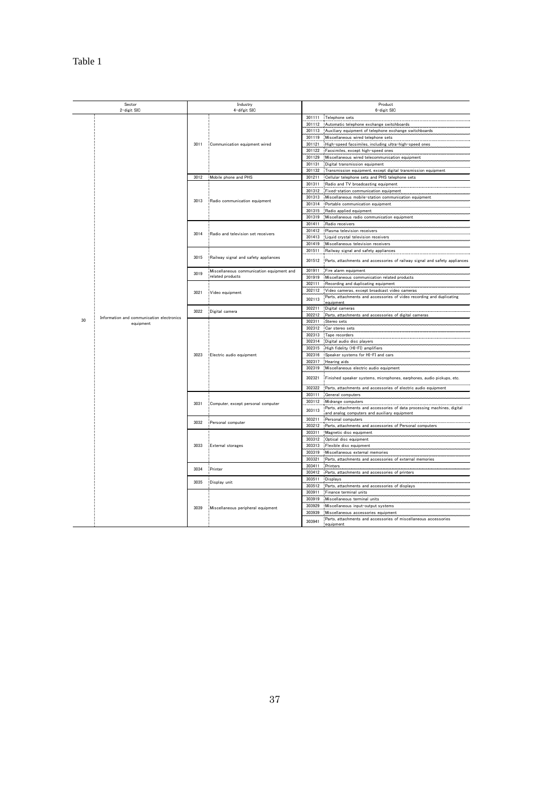|    | Sector<br>2-digit SIC                     |      | Industry<br>4-difgit SIC                  |        | Product<br>6-digit SIC                                                                                                  |
|----|-------------------------------------------|------|-------------------------------------------|--------|-------------------------------------------------------------------------------------------------------------------------|
|    |                                           |      |                                           | 301111 | Telephone sets                                                                                                          |
|    |                                           |      |                                           | 301112 | Automatic telephone exchange switchboards                                                                               |
|    |                                           |      |                                           | 301113 | Auxiliary equipment of telephone exchange switchboards                                                                  |
|    |                                           |      |                                           | 301119 | Miscellaneous wired telephone sets                                                                                      |
|    |                                           | 3011 | Communication equipment wired             | 301121 | High-speed facsimiles, including ultra-high-speed ones                                                                  |
|    |                                           |      |                                           |        |                                                                                                                         |
|    |                                           |      |                                           | 301122 | Facsimiles, except high-speed ones                                                                                      |
|    |                                           |      |                                           |        | 301129 Miscellaneous wired telecommunication equipment                                                                  |
|    |                                           |      |                                           | 301131 | Digital transmission equipment                                                                                          |
|    |                                           |      |                                           | 301132 | Transmission equipment, except digital transmission equipment                                                           |
|    |                                           | 3012 | Mobile phone and PHS                      | 301211 | Cellular telephone sets and PHS telephone sets                                                                          |
|    |                                           |      |                                           |        | 301311 Radio and TV broadcasting equipment                                                                              |
|    |                                           |      |                                           | 301312 | Fixed-station communication equipment                                                                                   |
|    |                                           | 3013 |                                           |        | 301313 Miscellaneous mobile-station communication equipment                                                             |
|    |                                           |      | Radio communication equipment             |        | 301314 Portable communication equipment                                                                                 |
|    |                                           |      |                                           | 301315 | Radio applied equipment                                                                                                 |
|    |                                           |      |                                           |        | 301319 Miscellaneous radio communication equipment                                                                      |
|    |                                           |      |                                           |        | 301411 Radio receivers                                                                                                  |
|    |                                           |      |                                           | 301412 | Plasma television receivers                                                                                             |
|    |                                           | 3014 | Radio and television set receivers        |        | 301413 Liquid crystal television receivers                                                                              |
|    |                                           |      |                                           |        | 301419 Miscellaneous television receivers                                                                               |
|    |                                           |      |                                           |        |                                                                                                                         |
|    |                                           |      |                                           |        | 301511 Railway signal and safety appliances                                                                             |
|    |                                           | 3015 | Railway signal and safety appliances      | 301512 | Parts, attachments and accessories of railway signal and safety appliances                                              |
|    |                                           |      | Miscellaneous communication equipment and | 301911 | Fire alarm equipment                                                                                                    |
|    |                                           | 3019 | related products                          |        | 301919 Miscellaneous communication related products                                                                     |
|    |                                           |      |                                           | 302111 | Recording and duplicating equipment                                                                                     |
|    |                                           |      |                                           | 302112 | Video cameras, except broadcast video cameras                                                                           |
|    |                                           | 3021 | Video equipment                           |        | Parts, attachments and accessories of video recording and duplicating                                                   |
|    |                                           |      |                                           | 302113 | <u>equipment</u>                                                                                                        |
|    |                                           | 3022 | Digital camera                            | 302211 | Digital cameras                                                                                                         |
|    | Information and communication electronics |      |                                           |        | 302212 Parts, attachments and accessories of digital cameras                                                            |
| 30 | equipment                                 |      |                                           |        | 302311 Stereo sets                                                                                                      |
|    |                                           |      |                                           |        | 302312 Car stereo sets                                                                                                  |
|    |                                           |      |                                           |        | 302313 Tape recorders                                                                                                   |
|    |                                           |      |                                           |        | 302314 Digital audio disc players                                                                                       |
|    |                                           |      |                                           |        | 302315 High fidelity (HI-FI) amplifiers                                                                                 |
|    |                                           | 3023 | Electric audio equipment                  |        | 302316 Speaker systems for HI-FI and cars                                                                               |
|    |                                           |      |                                           | 302317 | Hearing aids                                                                                                            |
|    |                                           |      |                                           |        |                                                                                                                         |
|    |                                           |      |                                           |        | 302319 Miscellaneous electric audio equipment                                                                           |
|    |                                           |      |                                           | 302321 | Finished speaker systems, microphones, earphones, audio pickups, etc.                                                   |
|    |                                           |      |                                           | 302322 | Parts, attachments and accessories of electric audio equipment                                                          |
|    |                                           |      |                                           | 303111 | General computers                                                                                                       |
|    |                                           |      |                                           |        | 303112 Midrange computers                                                                                               |
|    |                                           | 3031 | Computer, except personal computer        | 303113 | Parts, attachments and accessories of data processing machines, digital<br>and analog computers and auxiliary equipment |
|    |                                           |      |                                           | 303211 | Personal computers                                                                                                      |
|    |                                           | 3032 | Personal computer                         |        | 303212 Parts, attachments and accessories of Personal computers                                                         |
|    |                                           |      |                                           | 303311 |                                                                                                                         |
|    |                                           |      |                                           |        | Magnetic disc equipment                                                                                                 |
|    |                                           |      |                                           | 303312 | Optical disc equipment                                                                                                  |
|    |                                           | 3033 | External storages                         |        | 303313 Flexible disc equipment                                                                                          |
|    |                                           |      |                                           | 303319 | Miscellaneous external memories                                                                                         |
|    |                                           |      |                                           | 303321 | Parts, attachments and accessories of external memories                                                                 |
|    |                                           | 3034 | Printer                                   | 303411 | Printers                                                                                                                |
|    |                                           |      |                                           |        | 303412 Parts, attachments and accessories of printers                                                                   |
|    |                                           |      |                                           | 303511 | Displays                                                                                                                |
|    |                                           | 3035 | Display unit                              |        | 303512 Parts, attachments and accessories of displays                                                                   |
|    |                                           |      |                                           | 303911 | Finance terminal units                                                                                                  |
|    |                                           |      |                                           | 303919 | Miscellaneous terminal units                                                                                            |
|    |                                           |      |                                           | 303929 | Miscellaneous input-output systems                                                                                      |
|    |                                           | 3039 | Miscellaneous peripheral equipment        | 303939 | Miscellaneous accessories equipment                                                                                     |
|    |                                           |      |                                           |        | Parts, attachments and accessories of miscellaneous accessories                                                         |
|    |                                           |      |                                           | 303941 | equipment                                                                                                               |
|    |                                           |      |                                           |        |                                                                                                                         |

Table 1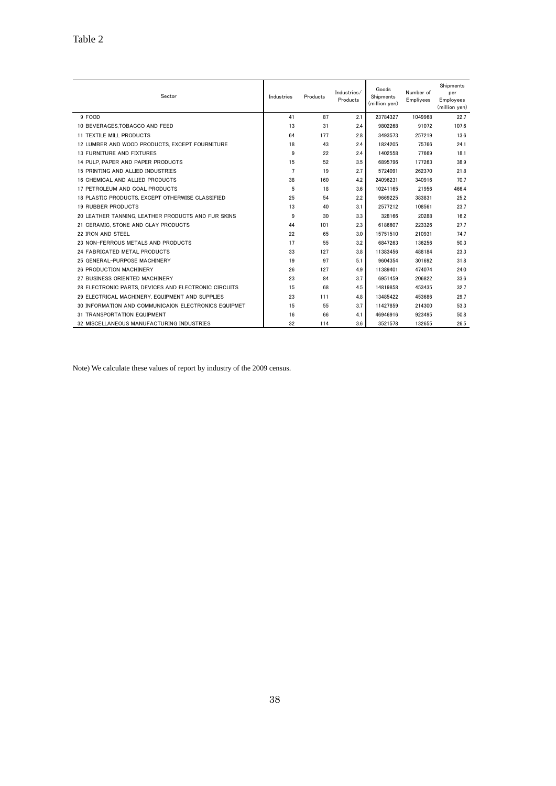| Sector                                               | Industries     | Products | Industries/<br>Products | Goods<br>Shipments<br>(million yen) | Number of<br>Empliyees | Shipments<br>per<br>Employees<br>(million yen) |
|------------------------------------------------------|----------------|----------|-------------------------|-------------------------------------|------------------------|------------------------------------------------|
| 9 FOOD                                               | 41             | 87       | 2.1                     | 23784327                            | 1049968                | 22.7                                           |
| 10 BEVERAGES.TOBACCO AND FEED                        | 13             | 31       | 2.4                     | 9802268                             | 91072                  | 107.6                                          |
| 11 TEXTILE MILL PRODUCTS                             | 64             | 177      | 2.8                     | 3493573                             | 257219                 | 13.6                                           |
| 12 LUMBER AND WOOD PRODUCTS. EXCEPT FOURNITURE       | 18             | 43       | 2.4                     | 1824205                             | 75766                  | 24.1                                           |
| 13 FURNITURE AND FIXTURES                            | 9              | 22       | 2.4                     | 1402558                             | 77669                  | 18.1                                           |
| 14 PULP, PAPER AND PAPER PRODUCTS                    | 15             | 52       | 3.5                     | 6895796                             | 177263                 | 38.9                                           |
| 15 PRINTING AND ALLIED INDUSTRIES                    | $\overline{7}$ | 19       | 2.7                     | 5724091                             | 262370                 | 21.8                                           |
| 16 CHEMICAL AND ALLIED PRODUCTS                      | 38             | 160      | 4.2                     | 24096231                            | 340916                 | 70.7                                           |
| 17 PETROLEUM AND COAL PRODUCTS                       | 5              | 18       | 3.6                     | 10241165                            | 21956                  | 466.4                                          |
| 18 PLASTIC PRODUCTS, EXCEPT OTHERWISE CLASSIFIED     | 25             | 54       | 2.2                     | 9669225                             | 383831                 | 25.2                                           |
| <b>19 RUBBER PRODUCTS</b>                            | 13             | 40       | 3.1                     | 2577212                             | 108561                 | 23.7                                           |
| 20 LEATHER TANNING. LEATHER PRODUCTS AND FUR SKINS   | 9              | 30       | 3.3                     | 328166                              | 20288                  | 16.2                                           |
| 21 CERAMIC, STONE AND CLAY PRODUCTS                  | 44             | 101      | 2.3                     | 6186607                             | 223326                 | 27.7                                           |
| 22 IRON AND STEEL                                    | 22             | 65       | 3.0                     | 15751510                            | 210931                 | 74.7                                           |
| 23 NON-FERROUS METALS AND PRODUCTS                   | 17             | 55       | 3.2                     | 6847263                             | 136256                 | 50.3                                           |
| 24 FABRICATED METAL PRODUCTS                         | 33             | 127      | 3.8                     | 11383456                            | 488184                 | 23.3                                           |
| 25 GENERAL-PURPOSE MACHINERY                         | 19             | 97       | 5.1                     | 9604354                             | 301692                 | 31.8                                           |
| 26 PRODUCTION MACHINERY                              | 26             | 127      | 4.9                     | 11389401                            | 474074                 | 24.0                                           |
| 27 BUSINESS ORIENTED MACHINERY                       | 23             | 84       | 3.7                     | 6951459                             | 206822                 | 33.6                                           |
| 28 ELECTRONIC PARTS, DEVICES AND ELECTRONIC CIRCUITS | 15             | 68       | 4.5                     | 14819858                            | 453435                 | 32.7                                           |
| 29 ELECTRICAL MACHINERY, EQUIPMENT AND SUPPLIES      | 23             | 111      | 4.8                     | 13485422                            | 453686                 | 29.7                                           |
| 30 INFORMATION AND COMMUNICAION ELECTRONICS EQUIPMET | 15             | 55       | 3.7                     | 11427859                            | 214300                 | 53.3                                           |
| 31 TRANSPORTATION EQUIPMENT                          | 16             | 66       | 4.1                     | 46946916                            | 923495                 | 50.8                                           |
| 32 MISCELLANEOUS MANUFACTURING INDUSTRIES            | 32             | 114      | 3.6                     | 3521578                             | 132655                 | 26.5                                           |

Note) We calculate these values of report by industry of the 2009 census.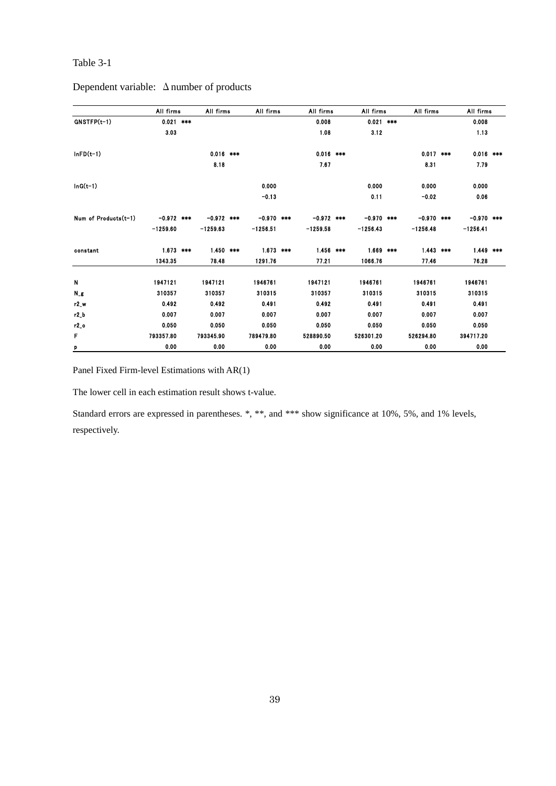## Dependent variable: Δnumber of products

|                      | All firms    | All firms    | All firms    | All firms    | All firms    | All firms    | All firms    |  |
|----------------------|--------------|--------------|--------------|--------------|--------------|--------------|--------------|--|
| $GNSTFP(t-1)$        | $0.021$ ***  |              |              | 0.008        | $0.021$ ***  |              | 0.008        |  |
|                      | 3.03         |              |              | 1.08         | 3.12         |              | 1.13         |  |
| $InFD(t-1)$          |              | $0.016$ ***  |              | $0.016$ ***  |              | $0.017$ ***  | $0.016$ ***  |  |
|                      |              | 8.18         |              | 7.67         |              | 8.31         | 7.79         |  |
| $InG(t-1)$           |              |              | 0.000        |              | 0.000        | 0.000        | 0.000        |  |
|                      |              |              | $-0.13$      |              | 0.11         | $-0.02$      | 0.06         |  |
| Num of Products(t-1) | $-0.972$ *** | $-0.972$ *** | $-0.970$ *** | $-0.972$ *** | $-0.970$ *** | $-0.970$ *** | $-0.970$ *** |  |
|                      | $-1259.60$   | $-1259.63$   | $-1256.51$   | $-1259.58$   | $-1256.43$   | $-1256.48$   | $-1256.41$   |  |
| constant             | $1.673$ ***  | $1.450$ ***  | $1.673$ ***  | $1.456$ ***  | $1.669$ ***  | $1.443$ ***  | $1.449$ ***  |  |
|                      | 1343.35      | 78.48        | 1291.76      | 77.21        | 1066.76      | 77.46        | 76.28        |  |
| N                    | 1947121      | 1947121      | 1946761      | 1947121      | 1946761      | 1946761      | 1946761      |  |
| $N_{-}g$             | 310357       | 310357       | 310315       | 310357       | 310315       | 310315       | 310315       |  |
| r2 w                 | 0.492        | 0.492        | 0.491        | 0.492        | 0.491        | 0.491        | 0.491        |  |
| r2_b                 | 0.007        | 0.007        | 0.007        | 0.007        | 0.007        | 0.007        | 0.007        |  |
| $r2$ o               | 0.050        | 0.050        | 0.050        | 0.050        | 0.050        | 0.050        | 0.050        |  |
| F                    | 793357.80    | 793345.90    | 789479.80    | 528890.50    | 526301.20    | 526294.80    | 394717.20    |  |
| P                    | 0.00         | 0.00         | 0.00         | 0.00         | 0.00         | 0.00         | 0.00         |  |

Panel Fixed Firm-level Estimations with AR(1)

The lower cell in each estimation result shows t-value.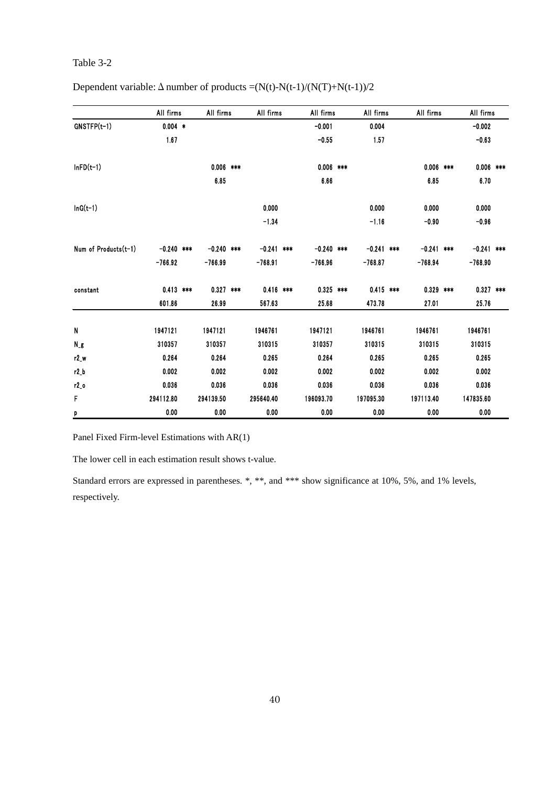|                      | All firms    | All firms    | All firms    | All firms    | All firms   |     | All firms    | All firms    |  |
|----------------------|--------------|--------------|--------------|--------------|-------------|-----|--------------|--------------|--|
| GNSTFP(t-1)          | $0.004$ *    |              |              | $-0.001$     | 0.004       |     |              | $-0.002$     |  |
|                      | 1.67         |              |              | $-0.55$      | 1.57        |     |              | $-0.63$      |  |
| $lnFD(t-1)$          |              | $0.006$ ***  |              | $0.006$ ***  |             |     | $0.006$ ***  | $0.006$ ***  |  |
|                      |              | 6.85         |              | 6.66         |             |     | 6.85         | 6.70         |  |
| $InG(t-1)$           |              |              | 0.000        |              | 0.000       |     | 0.000        | 0.000        |  |
|                      |              |              | $-1.34$      |              | $-1.16$     |     | $-0.90$      | $-0.96$      |  |
| Num of Products(t-1) | $-0.240$ *** | $-0.240$ *** | $-0.241$ *** | $-0.240$ *** | $-0.241$    | *** | $-0.241$ *** | $-0.241$ *** |  |
|                      | $-766.92$    | $-766.99$    | $-768.91$    | $-766.96$    | $-768.87$   |     | $-768.94$    | $-768.90$    |  |
| constant             | $0.413$ ***  | $0.327$ ***  | $0.416$ ***  | $0.325$ ***  | $0.415$ *** |     | $0.329$ ***  | $0.327$ ***  |  |
|                      | 601.86       | 26.99        | 567.63       | 25.68        | 473.78      |     | 27.01        | 25.76        |  |
| N                    | 1947121      | 1947121      | 1946761      | 1947121      | 1946761     |     | 1946761      | 1946761      |  |
| Ng                   | 310357       | 310357       | 310315       | 310357       | 310315      |     | 310315       | 310315       |  |
| $r2_w$               | 0.264        | 0.264        | 0.265        | 0.264        | 0.265       |     | 0.265        | 0.265        |  |
| r2 b                 | 0.002        | 0.002        | 0.002        | 0.002        | 0.002       |     | 0.002        | 0.002        |  |
| r2_o                 | 0.036        | 0.036        | 0.036        | 0.036        | 0.036       |     | 0.036        | 0.036        |  |
| F                    | 294112.80    | 294139.50    | 295640.40    | 196093.70    | 197095.30   |     | 197113.40    | 147835.60    |  |
| p                    | 0.00         | 0.00         | 0.00         | 0.00         | 0.00        |     | 0.00         | 0.00         |  |

Dependent variable:  $\Delta$  number of products =(N(t)-N(t-1)/(N(T)+N(t-1))/2

Panel Fixed Firm-level Estimations with AR(1)

The lower cell in each estimation result shows t-value.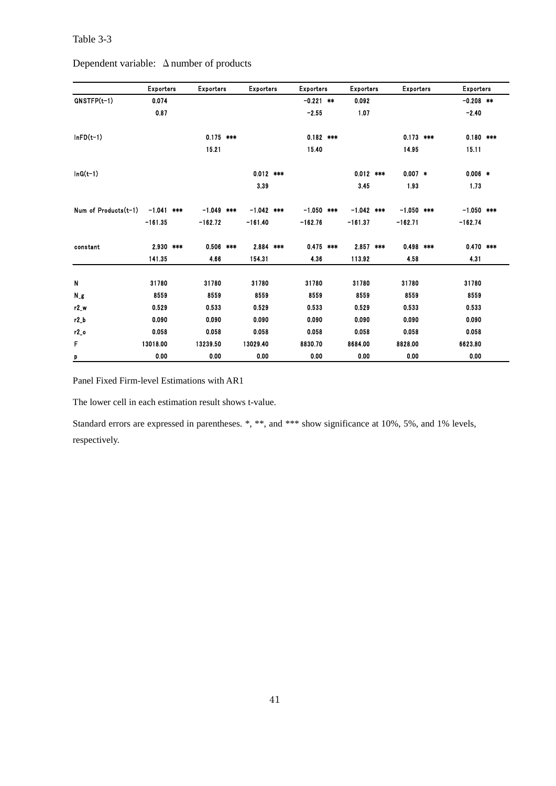|  | Dependent variable: $\Delta$ number of products |
|--|-------------------------------------------------|
|--|-------------------------------------------------|

|                      | <b>Exporters</b> | <b>Exporters</b> |     | <b>Exporters</b> | <b>Exporters</b> | <b>Exporters</b> | <b>Exporters</b> | <b>Exporters</b> |  |
|----------------------|------------------|------------------|-----|------------------|------------------|------------------|------------------|------------------|--|
| GNSTFP(t-1)          | 0.074            |                  |     |                  | $-0.221$ **      | 0.092            |                  | $-0.208$ **      |  |
|                      | 0.87             |                  |     |                  | $-2.55$          | 1.07             |                  | $-2.40$          |  |
| $InFD(t-1)$          |                  | $0.175$ ***      |     |                  | $0.182$ ***      |                  | $0.173$ ***      | $0.180$ ***      |  |
|                      |                  | 15.21            |     |                  | 15.40            |                  | 14.95            | 15.11            |  |
| $ln G(t-1)$          |                  |                  |     | $0.012$ ***      |                  | $0.012$ ***      | $0.007$ *        | $0.006$ *        |  |
|                      |                  |                  |     | 3.39             |                  | 3.45             | 1.93             | 1.73             |  |
| Num of Products(t-1) | $-1.041$ ***     | $-1.049$         | *** | $-1.042$ ***     | $-1.050$ ***     | $-1.042$ ***     | $-1.050$ ***     | $-1.050$ ***     |  |
|                      | $-161.35$        | $-162.72$        |     | $-161.40$        | $-162.76$        | $-161.37$        | $-162.71$        | $-162.74$        |  |
| constant             | 2.930 ***        | $0.506$ ***      |     | 2.884 ***        | $0.475$ ***      | 2.857 ***        | $0.498$ ***      | $0.470$ ***      |  |
|                      | 141.35           | 4.66             |     | 154.31           | 4.36             | 113.92           | 4.58             | 4.31             |  |
| N                    | 31780            | 31780            |     | 31780            | 31780            | 31780            | 31780            | 31780            |  |
| N_g                  | 8559             | 8559             |     | 8559             | 8559             | 8559             | 8559             | 8559             |  |
| r2_w                 | 0.529            | 0.533            |     | 0.529            | 0.533            | 0.529            | 0.533            | 0.533            |  |
| r2 b                 | 0.090            | 0.090            |     | 0.090            | 0.090            | 0.090            | 0.090            | 0.090            |  |
| $r2$ o               | 0.058            | 0.058            |     | 0.058            | 0.058            | 0.058            | 0.058            | 0.058            |  |
| F                    | 13018.00         | 13239.50         |     | 13029.40         | 8830.70          | 8684.00          | 8828.00          | 6623.80          |  |
| p                    | 0.00             | 0.00             |     | 0.00             | 0.00             | 0.00             | 0.00             | 0.00             |  |

Panel Fixed Firm-level Estimations with AR1

The lower cell in each estimation result shows t-value.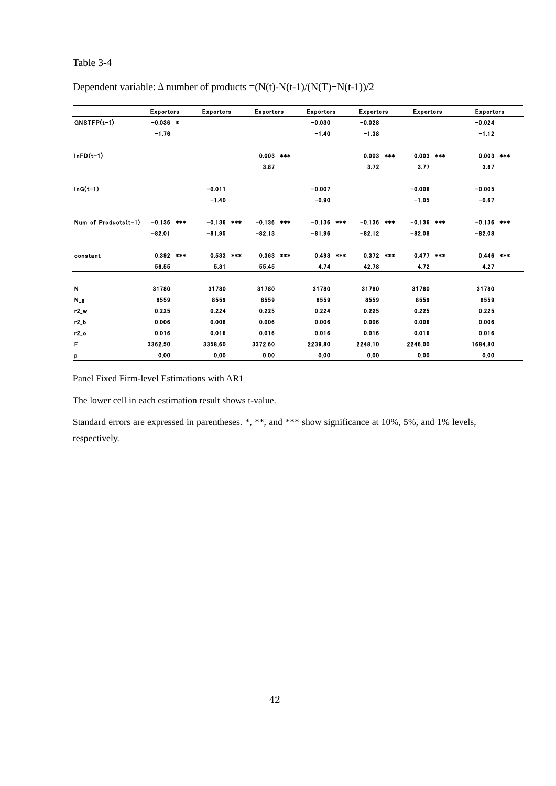|                      | <b>Exporters</b> | <b>Exporters</b> | <b>Exporters</b> |     | <b>Exporters</b> | <b>Exporters</b> | <b>Exporters</b> |     | <b>Exporters</b> |  |
|----------------------|------------------|------------------|------------------|-----|------------------|------------------|------------------|-----|------------------|--|
| $GNSTFP(t-1)$        | $-0.036$ *       |                  |                  |     | $-0.030$         | $-0.028$         |                  |     | $-0.024$         |  |
|                      | $-1.76$          |                  |                  |     | $-1.40$          | $-1.38$          |                  |     | $-1.12$          |  |
| $InFD(t-1)$          |                  |                  | 0.003            | *** |                  | $0.003$ ***      | 0.003            | *** | $0.003$ ***      |  |
|                      |                  |                  | 3.87             |     |                  | 3.72             | 3.77             |     | 3.67             |  |
| $ln G(t-1)$          |                  | $-0.011$         |                  |     | $-0.007$         |                  | $-0.008$         |     | $-0.005$         |  |
|                      |                  | $-1.40$          |                  |     | $-0.90$          |                  | $-1.05$          |     | $-0.67$          |  |
| Num of Products(t-1) | $-0.136$ ***     | $-0.136$ ***     | $-0.136$ ***     |     | $-0.136$ ***     | $-0.136$ ***     | $-0.136$ ***     |     | $-0.136$ ***     |  |
|                      | $-82.01$         | $-81.95$         | $-82.13$         |     | $-81.96$         | $-82.12$         | $-82.08$         |     | $-82.08$         |  |
| constant             | $0.392$ ***      | $0.533$ ***      | $0.363$ ***      |     | $0.493$ ***      | $0.372$ ***      | $0.477$ ***      |     | $0.446$ ***      |  |
|                      | 56.55            | 5.31             | 55.45            |     | 4.74             | 42.78            | 4.72             |     | 4.27             |  |
| N                    | 31780            | 31780            | 31780            |     | 31780            | 31780            | 31780            |     | 31780            |  |
| $N_g$                | 8559             | 8559             | 8559             |     | 8559             | 8559             | 8559             |     | 8559             |  |
| $r2_w$               | 0.225            | 0.224            | 0.225            |     | 0.224            | 0.225            | 0.225            |     | 0.225            |  |
| $r2_b$               | 0.006            | 0.006            | 0.006            |     | 0.006            | 0.006            | 0.006            |     | 0.006            |  |
| $r2_o$               | 0.016            | 0.016            | 0.016            |     | 0.016            | 0.016            | 0.016            |     | 0.016            |  |
| F                    | 3362.50          | 3358.60          | 3372.60          |     | 2239.80          | 2248.10          | 2246.00          |     | 1684.80          |  |
| p                    | 0.00             | 0.00             | 0.00             |     | 0.00             | 0.00             | 0.00             |     | 0.00             |  |

Dependent variable:  $\Delta$  number of products =(N(t)-N(t-1)/(N(T)+N(t-1))/2

Panel Fixed Firm-level Estimations with AR1

The lower cell in each estimation result shows t-value.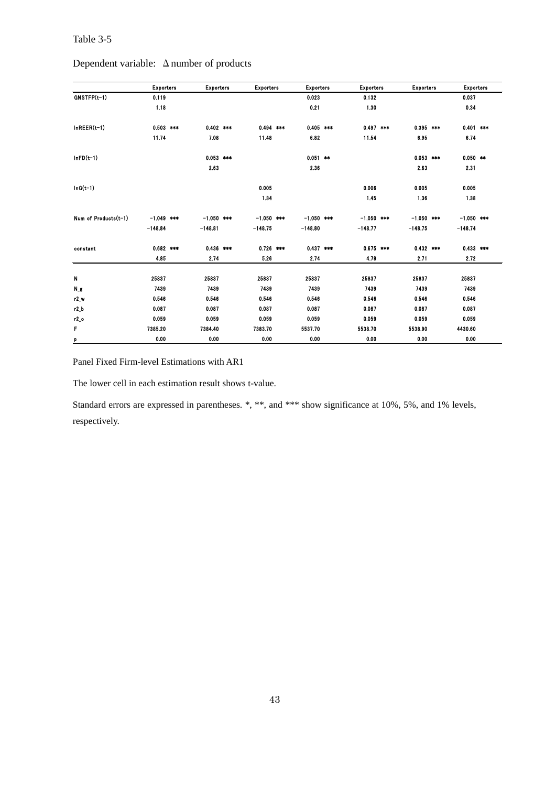|                      | <b>Exporters</b> | <b>Exporters</b> | <b>Exporters</b> | <b>Exporters</b> | <b>Exporters</b> | <b>Exporters</b> | <b>Exporters</b> |  |
|----------------------|------------------|------------------|------------------|------------------|------------------|------------------|------------------|--|
| $GNSTFP(t-1)$        | 0.119            |                  |                  | 0.023            | 0.132            |                  | 0.037            |  |
|                      | 1.18             |                  |                  | 0.21             | 1.30             |                  | 0.34             |  |
| $InREER(t-1)$        | $0.503$ ***      | $0.402$ ***      | $0.494$ ***      | $0.405$ ***      | $0.497$ ***      | $0.395$ ***      | $0.401$ ***      |  |
|                      | 11.74            | 7.08             | 11.48            | 6.82             | 11.54            | 6.95             | 6.74             |  |
| $InFD(t-1)$          |                  | $0.053$ ***      |                  | $0.051$ **       |                  | $0.053$ ***      | $0.050$ **       |  |
|                      |                  | 2.63             |                  | 2.36             |                  | 2.63             | 2.31             |  |
| $InG(t-1)$           |                  |                  | 0.005            |                  | 0.006            | 0.005            | 0.005            |  |
|                      |                  |                  | 1.34             |                  | 1.45             | 1.36             | 1.38             |  |
| Num of Products(t-1) | $-1.049$ ***     | $-1.050$ ***     | $-1.050$ ***     | $-1.050$ ***     | $-1.050$ ***     | $-1.050$ ***     | $-1.050$ ***     |  |
|                      | $-148.84$        | $-148.81$        | $-148.75$        | $-148.80$        | $-148.77$        | $-148.75$        | $-148.74$        |  |
| constant             | $0.682$ ***      | $0.436$ ***      | $0.726$ ***      | $0.437$ ***      | $0.675$ ***      | $0.432$ ***      | $0.433$ ***      |  |
|                      | 4.85             | 2.74             | 5.26             | 2.74             | 4.79             | 2.71             | 2.72             |  |
| Ν                    | 25837            | 25837            | 25837            | 25837            | 25837            | 25837            | 25837            |  |
| Ng                   | 7439             | 7439             | 7439             | 7439             | 7439             | 7439             | 7439             |  |
| $r2_w$               | 0.546            | 0.546            | 0.546            | 0.546            | 0.546            | 0.546            | 0.546            |  |
| $r2_b$               | 0.087            | 0.087            | 0.087            | 0.087            | 0.087            | 0.087            | 0.087            |  |
| $r2_0$               | 0.059            | 0.059            | 0.059            | 0.059            | 0.059            | 0.059            | 0.059            |  |
| F                    | 7385.20          | 7384.40          | 7383.70          | 5537.70          | 5538.70          | 5538.90          | 4430.60          |  |
| p                    | 0.00             | 0.00             | 0.00             | 0.00             | 0.00             | 0.00             | 0.00             |  |

Dependent variable: Δnumber of products

Panel Fixed Firm-level Estimations with AR1

The lower cell in each estimation result shows t-value.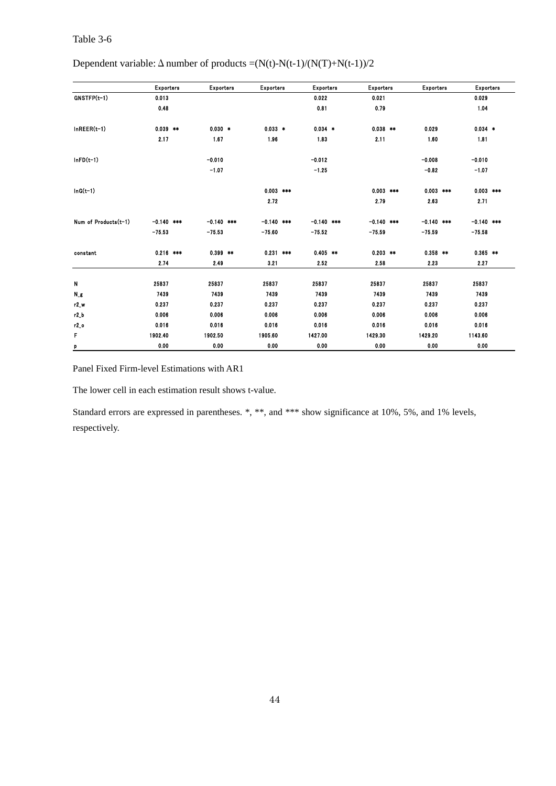# Dependent variable:  $\Delta$  number of products =(N(t)-N(t-1)/(N(T)+N(t-1))/2

|                      | <b>Exporters</b> | <b>Exporters</b> | <b>Exporters</b> | <b>Exporters</b> | <b>Exporters</b> | <b>Exporters</b> | <b>Exporters</b> |  |
|----------------------|------------------|------------------|------------------|------------------|------------------|------------------|------------------|--|
| GNSTFP(t-1)          | 0.013            |                  |                  | 0.022            | 0.021            |                  | 0.029            |  |
|                      | 0.48             |                  |                  | 0.81             | 0.79             |                  | 1.04             |  |
| $InREER(t-1)$        | $0.039$ **       | $0.030*$         | $0.033$ *        | $0.034$ *        | $0.038$ **       | 0.029            | $0.034$ *        |  |
|                      | 2.17             | 1.67             | 1.96             | 1.83             | 2.11             | 1.60             | 1.81             |  |
| $lnFD(t-1)$          |                  | $-0.010$         |                  | $-0.012$         |                  | $-0.008$         | $-0.010$         |  |
|                      |                  | $-1.07$          |                  | $-1.25$          |                  | $-0.82$          | $-1.07$          |  |
| $InG(t-1)$           |                  |                  | $0.003$ ***      |                  | $0.003$ ***      | $0.003$ ***      | $0.003$ ***      |  |
|                      |                  |                  | 2.72             |                  | 2.79             | 2.63             | 2.71             |  |
| Num of Products(t-1) | $-0.140$ ***     | $-0.140$ ***     | $-0.140$ ***     | $-0.140$ ***     | $-0.140$ ***     | $-0.140$ ***     | $-0.140$ ***     |  |
|                      | $-75.53$         | $-75.53$         | $-75.60$         | $-75.52$         | $-75.59$         | $-75.59$         | $-75.58$         |  |
| constant             | $0.216$ ***      | $0.399$ **       | $0.231$ ***      | $0.405$ **       | $0.203$ **       | $0.358$ **       | $0.365$ **       |  |
|                      | 2.74             | 2.49             | 3.21             | 2.52             | 2.58             | 2.23             | 2.27             |  |
| N                    | 25837            | 25837            | 25837            | 25837            | 25837            | 25837            | 25837            |  |
| $N_{-}g$             | 7439             | 7439             | 7439             | 7439             | 7439             | 7439             | 7439             |  |
| $r2_w$               | 0.237            | 0.237            | 0.237            | 0.237            | 0.237            | 0.237            | 0.237            |  |
| $r2_b$               | 0.006            | 0.006            | 0.006            | 0.006            | 0.006            | 0.006            | 0.006            |  |
| $r2_0$               | 0.016            | 0.016            | 0.016            | 0.016            | 0.016            | 0.016            | 0.016            |  |
| F                    | 1902.40          | 1902.50          | 1905.60          | 1427.00          | 1429.30          | 1429.20          | 1143.60          |  |
| p                    | 0.00             | 0.00             | 0.00             | 0.00             | 0.00             | 0.00             | 0.00             |  |

Panel Fixed Firm-level Estimations with AR1

The lower cell in each estimation result shows t-value.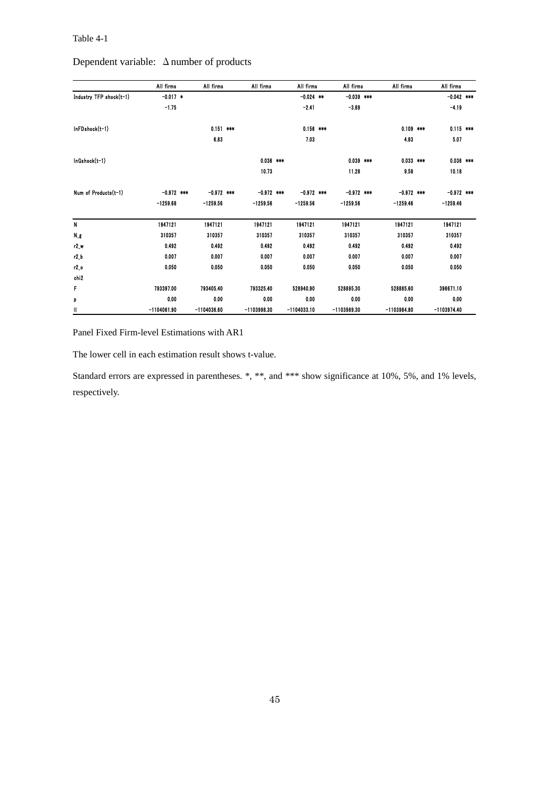### Table 4-1

|  | Dependent variable: $\Delta$ number of products |
|--|-------------------------------------------------|
|--|-------------------------------------------------|

|                         | All firms     | All firms     | All firms     | All firms     | All firms     | All firms     | All firms     |  |
|-------------------------|---------------|---------------|---------------|---------------|---------------|---------------|---------------|--|
| Industry TFP shock(t-1) | $-0.017$ *    |               |               | $-0.024$ **   | $-0.039$ ***  |               | $-0.042$ ***  |  |
|                         | $-1.75$       |               |               | $-2.41$       | $-3.89$       |               | $-4.19$       |  |
| InFDshock(t-1)          |               | $0.151$ ***   |               | $0.156$ ***   |               | $0.109$ ***   | $0.115$ ***   |  |
|                         |               | 6.83          |               | 7.03          |               | 4.83          | 5.07          |  |
| InGshock(t-1)           |               |               | $0.036$ ***   |               | $0.039$ ***   | $0.033$ ***   | $0.036$ ***   |  |
|                         |               |               | 10.73         |               | 11.28         | 9.58          | 10.18         |  |
| Num of Products(t-1)    | $-0.972$ ***  | $-0.972$ ***  | $-0.972$ ***  | $-0.972$ ***  | $-0.972$ ***  | $-0.972$ ***  | $-0.972$ ***  |  |
|                         | $-1259.68$    | $-1259.56$    | $-1259.56$    | $-1259.56$    | $-1259.56$    | $-1259.46$    | $-1259.46$    |  |
| N                       | 1947121       | 1947121       | 1947121       | 1947121       | 1947121       | 1947121       | 1947121       |  |
| $N_{-5}$                | 310357        | 310357        | 310357        | 310357        | 310357        | 310357        | 310357        |  |
| r2 w                    | 0.492         | 0.492         | 0.492         | 0.492         | 0.492         | 0.492         | 0.492         |  |
| $r2_b$                  | 0.007         | 0.007         | 0.007         | 0.007         | 0.007         | 0.007         | 0.007         |  |
| r2o                     | 0.050         | 0.050         | 0.050         | 0.050         | 0.050         | 0.050         | 0.050         |  |
| chi2                    |               |               |               |               |               |               |               |  |
| F                       | 793397.00     | 793405.40     | 793325.40     | 528940.90     | 528895.30     | 528885.60     | 396671.10     |  |
| p                       | 0.00          | 0.00          | 0.00          | 0.00          | 0.00          | 0.00          | 0.00          |  |
| Ш                       | $-1104061.90$ | $-1104036.60$ | $-1103998.30$ | $-1104033.10$ | $-1103989.30$ | $-1103984.80$ | $-1103974.40$ |  |

Panel Fixed Firm-level Estimations with AR1

The lower cell in each estimation result shows t-value.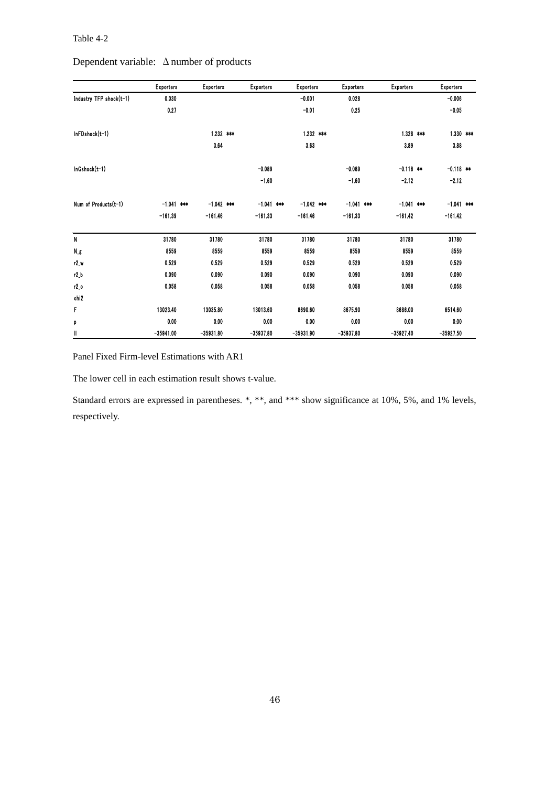### Table 4-2

|                         | <b>Exporters</b> | <b>Exporters</b> | <b>Exporters</b> | <b>Exporters</b> | <b>Exporters</b> | <b>Exporters</b> | <b>Exporters</b> |
|-------------------------|------------------|------------------|------------------|------------------|------------------|------------------|------------------|
| Industry TFP shock(t-1) | 0.030            |                  |                  | $-0.001$         | 0.028            |                  | $-0.006$         |
|                         | 0.27             |                  |                  | $-0.01$          | 0.25             |                  | $-0.05$          |
| InFDshock(t-1)          |                  | $1.232$ ***      |                  | 1232 ***         |                  | $1.328$ ***      | $1.330$ ***      |
|                         |                  | 3.64             |                  | 3.63             |                  | 3.89             | 3.88             |
| InGshock(t-1)           |                  |                  | $-0.089$         |                  | $-0.089$         | $-0.118$ **      | $-0.118$ **      |
|                         |                  |                  | $-1.60$          |                  | $-1.60$          | $-2.12$          | $-2.12$          |
| Num of Products(t-1)    | $-1.041$ ***     | $-1.042$ ***     | $-1.041$ ***     | $-1.042$ ***     | $-1.041$ ***     | $-1.041$ ***     | $-1.041$ ***     |
|                         | $-161.39$        | $-161.46$        | $-161.33$        | $-161.46$        | $-161.33$        | $-161.42$        | $-161.42$        |
| N                       | 31780            | 31780            | 31780            | 31780            | 31780            | 31780            | 31780            |
| Ng                      | 8559             | 8559             | 8559             | 8559             | 8559             | 8559             | 8559             |
| r2_w                    | 0.529            | 0.529            | 0.529            | 0.529            | 0.529            | 0.529            | 0.529            |
| $r2_b$                  | 0.090            | 0.090            | 0.090            | 0.090            | 0.090            | 0.090            | 0.090            |
| $r2_0$                  | 0.058            | 0.058            | 0.058            | 0.058            | 0.058            | 0.058            | 0.058            |
| chi <sub>2</sub>        |                  |                  |                  |                  |                  |                  |                  |
| F                       | 13023.40         | 13035.80         | 13013.60         | 8690.60          | 8675.90          | 8686.00          | 6514.60          |
| p                       | 0.00             | 0.00             | 0.00             | 0.00             | 0.00             | 0.00             | 0.00             |
| Ш                       | $-35941.00$      | $-35931.80$      | $-35937.80$      | $-35931.90$      | $-35937.80$      | $-35927.40$      | $-35927.50$      |

Dependent variable: Δnumber of products

Panel Fixed Firm-level Estimations with AR1

The lower cell in each estimation result shows t-value.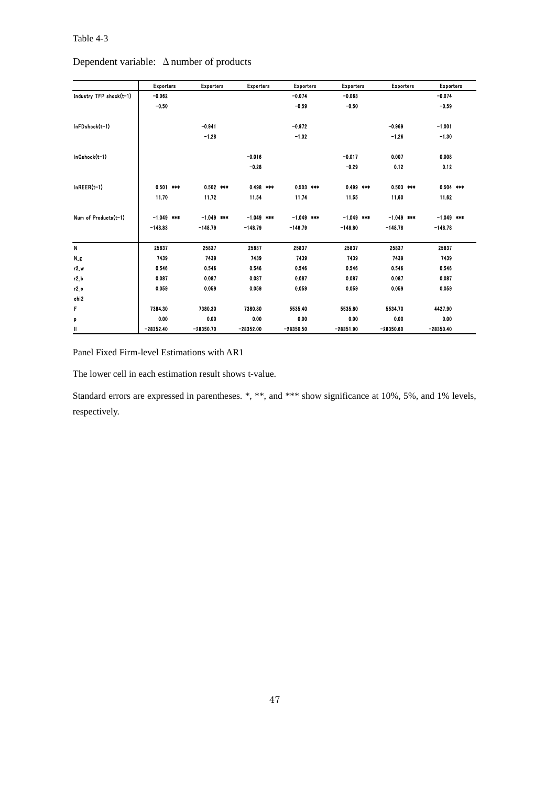| $Depenident$ variable: $\Delta$ number of products |                  |                  |                  |                  |                  |                  |                  |  |
|----------------------------------------------------|------------------|------------------|------------------|------------------|------------------|------------------|------------------|--|
|                                                    | <b>Exporters</b> | <b>Exporters</b> | <b>Exporters</b> | <b>Exporters</b> | <b>Exporters</b> | <b>Exporters</b> | <b>Exporters</b> |  |
| Industry TFP shock(t-1)                            | $-0.062$         |                  |                  | $-0.074$         | $-0.063$         |                  | $-0.074$         |  |
|                                                    | $-0.50$          |                  |                  | $-0.59$          | $-0.50$          |                  | $-0.59$          |  |
| InFDshock(t-1)                                     |                  | $-0.941$         |                  | $-0.972$         |                  | $-0.969$         | $-1.001$         |  |
|                                                    |                  | $-1.28$          |                  | $-1.32$          |                  | $-1.26$          | $-1.30$          |  |
| InGshock(t-1)                                      |                  |                  | $-0.016$         |                  | $-0.017$         | 0.007            | 0.008            |  |
|                                                    |                  |                  | $-0.28$          |                  | $-0.29$          | 0.12             | 0.12             |  |
| $InREER(t-1)$                                      | $0.501$ ***      | $0.502$ ***      | $0.498$ ***      | $0.503$ ***      | $0.499$ ***      | $0.503$ ***      | $0.504$ ***      |  |
|                                                    | 11.70            | 11.72            | 11.54            | 11.74            | 11.55            | 11.60            | 11.62            |  |
| Num of Products(t-1)                               | $-1.049$ ***     | $-1.049$ ***     | $-1.049$ ***     | $-1.049$ ***     | $-1.049$ ***     | $-1.049$ ***     | $-1.049$ ***     |  |
|                                                    | $-148.83$        | $-148.79$        | $-148.79$        | $-148.79$        | $-148.80$        | $-148.78$        | $-148.78$        |  |
| N                                                  | 25837            | 25837            | 25837            | 25837            | 25837            | 25837            | 25837            |  |
| $N_{-}g$                                           | 7439             | 7439             | 7439             | 7439             | 7439             | 7439             | 7439             |  |
| r2w                                                | 0.546            | 0.546            | 0.546            | 0.546            | 0.546            | 0.546            | 0.546            |  |
| $r2_b$                                             | 0.087            | 0.087            | 0.087            | 0.087            | 0.087            | 0.087            | 0.087            |  |
| $r2_0$                                             | 0.059            | 0.059            | 0.059            | 0.059            | 0.059            | 0.059            | 0.059            |  |
| chi <sub>2</sub>                                   |                  |                  |                  |                  |                  |                  |                  |  |
| F                                                  | 7384.30          | 7380.30          | 7380.80          | 5535.40          | 5535.80          | 5534.70          | 4427.90          |  |

## Dependent variable: Δnumber of products

Panel Fixed Firm-level Estimations with AR1

The lower cell in each estimation result shows t-value.

Standard errors are expressed in parentheses. \*, \*\*, and \*\*\* show significance at 10%, 5%, and 1% levels, respectively.

p 0.00 0.00 0.00 0.00 0.00 0.00 0.00 ll -28352.40 -28350.70 -28352.00 -28350.50 -28351.90 -28350.60 -28350.40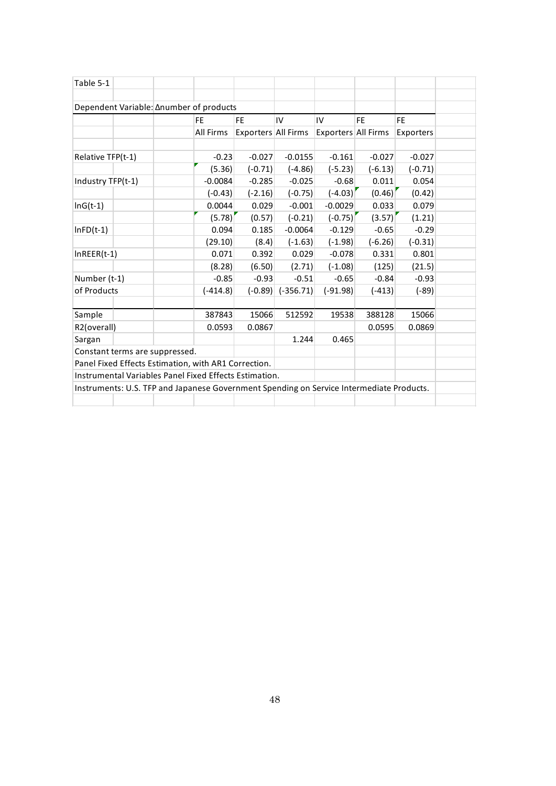| Table 5-1                                                                                |            |                     |             |                     |           |           |  |  |  |
|------------------------------------------------------------------------------------------|------------|---------------------|-------------|---------------------|-----------|-----------|--|--|--|
|                                                                                          |            |                     |             |                     |           |           |  |  |  |
| Dependent Variable: ∆number of products                                                  |            |                     |             |                     |           |           |  |  |  |
|                                                                                          | <b>FE</b>  | <b>FE</b>           | IV          | IV                  | <b>FE</b> | <b>FE</b> |  |  |  |
|                                                                                          | All Firms  | Exporters All Firms |             | Exporters All Firms |           | Exporters |  |  |  |
|                                                                                          |            |                     |             |                     |           |           |  |  |  |
| Relative TFP(t-1)                                                                        | $-0.23$    | $-0.027$            | $-0.0155$   | $-0.161$            | $-0.027$  | $-0.027$  |  |  |  |
|                                                                                          | (5.36)     | $(-0.71)$           | $(-4.86)$   | $(-5.23)$           | $(-6.13)$ | $(-0.71)$ |  |  |  |
| Industry TFP(t-1)                                                                        | $-0.0084$  | $-0.285$            | $-0.025$    | $-0.68$             | 0.011     | 0.054     |  |  |  |
|                                                                                          | $(-0.43)$  | $(-2.16)$           | $(-0.75)$   | $(-4.03)$           | (0.46)    | (0.42)    |  |  |  |
| $InG(t-1)$                                                                               | 0.0044     | 0.029               | $-0.001$    | $-0.0029$           | 0.033     | 0.079     |  |  |  |
|                                                                                          | (5.78)     | (0.57)              | $(-0.21)$   | $(-0.75)'$          | (3.57)    | (1.21)    |  |  |  |
| $InFD(t-1)$                                                                              | 0.094      | 0.185               | $-0.0064$   | $-0.129$            | $-0.65$   | $-0.29$   |  |  |  |
|                                                                                          | (29.10)    | (8.4)               | $(-1.63)$   | $(-1.98)$           | $(-6.26)$ | $(-0.31)$ |  |  |  |
| $InREER(t-1)$                                                                            | 0.071      | 0.392               | 0.029       | $-0.078$            | 0.331     | 0.801     |  |  |  |
|                                                                                          | (8.28)     | (6.50)              | (2.71)      | $(-1.08)$           | (125)     | (21.5)    |  |  |  |
| Number (t-1)                                                                             | $-0.85$    | $-0.93$             | $-0.51$     | $-0.65$             | $-0.84$   | $-0.93$   |  |  |  |
| of Products                                                                              | $(-414.8)$ | $(-0.89)$           | $(-356.71)$ | $(-91.98)$          | $(-413)$  | $(-89)$   |  |  |  |
|                                                                                          |            |                     |             |                     |           |           |  |  |  |
| Sample                                                                                   | 387843     | 15066               | 512592      | 19538               | 388128    | 15066     |  |  |  |
| R2(overall)                                                                              | 0.0593     | 0.0867              |             |                     | 0.0595    | 0.0869    |  |  |  |
| Sargan                                                                                   |            |                     | 1.244       | 0.465               |           |           |  |  |  |
| Constant terms are suppressed.                                                           |            |                     |             |                     |           |           |  |  |  |
| Panel Fixed Effects Estimation, with AR1 Correction.                                     |            |                     |             |                     |           |           |  |  |  |
| Instrumental Variables Panel Fixed Effects Estimation.                                   |            |                     |             |                     |           |           |  |  |  |
| Instruments: U.S. TFP and Japanese Government Spending on Service Intermediate Products. |            |                     |             |                     |           |           |  |  |  |
|                                                                                          |            |                     |             |                     |           |           |  |  |  |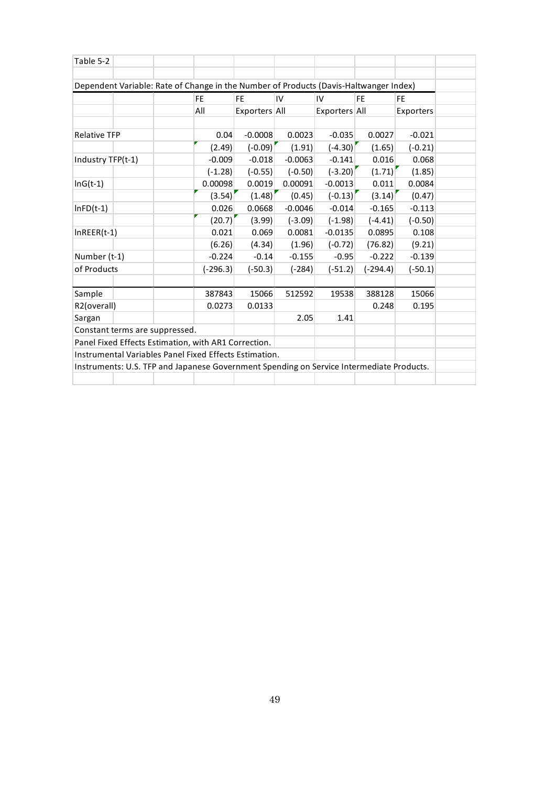| Table 5-2                                                                                |                                                  |  |            |               |           |               |            |           |  |  |  |  |
|------------------------------------------------------------------------------------------|--------------------------------------------------|--|------------|---------------|-----------|---------------|------------|-----------|--|--|--|--|
|                                                                                          |                                                  |  |            |               |           |               |            |           |  |  |  |  |
| Dependent Variable: Rate of Change in the Number of Products (Davis-Haltwanger Index)    |                                                  |  |            |               |           |               |            |           |  |  |  |  |
|                                                                                          | FE.<br>FE.<br>IV<br><b>FE</b><br>IV<br><b>FE</b> |  |            |               |           |               |            |           |  |  |  |  |
|                                                                                          |                                                  |  | All        | Exporters All |           | Exporters All |            | Exporters |  |  |  |  |
|                                                                                          |                                                  |  |            |               |           |               |            |           |  |  |  |  |
| <b>Relative TFP</b>                                                                      |                                                  |  | 0.04       | $-0.0008$     | 0.0023    | $-0.035$      | 0.0027     | $-0.021$  |  |  |  |  |
|                                                                                          |                                                  |  | (2.49)     | $(-0.09)$     | (1.91)    | $(-4.30)$     | (1.65)     | $(-0.21)$ |  |  |  |  |
| Industry TFP(t-1)                                                                        |                                                  |  | $-0.009$   | $-0.018$      | $-0.0063$ | $-0.141$      | 0.016      | 0.068     |  |  |  |  |
|                                                                                          |                                                  |  | $(-1.28)$  | $(-0.55)$     | $(-0.50)$ | $(-3.20)$     | (1.71)     | (1.85)    |  |  |  |  |
| $InG(t-1)$                                                                               |                                                  |  | 0.00098    | 0.0019        | 0.00091   | $-0.0013$     | 0.011      | 0.0084    |  |  |  |  |
|                                                                                          |                                                  |  | (3.54)     | (1.48)        | (0.45)    | $(-0.13)$     | (3.14)     | (0.47)    |  |  |  |  |
| $InFD(t-1)$                                                                              |                                                  |  | 0.026      | 0.0668        | $-0.0046$ | $-0.014$      | $-0.165$   | $-0.113$  |  |  |  |  |
|                                                                                          |                                                  |  | (20.7)     | (3.99)        | $(-3.09)$ | $(-1.98)$     | $(-4.41)$  | $(-0.50)$ |  |  |  |  |
| $InREER(t-1)$                                                                            |                                                  |  | 0.021      | 0.069         | 0.0081    | $-0.0135$     | 0.0895     | 0.108     |  |  |  |  |
|                                                                                          |                                                  |  | (6.26)     | (4.34)        | (1.96)    | $(-0.72)$     | (76.82)    | (9.21)    |  |  |  |  |
| Number (t-1)                                                                             |                                                  |  | $-0.224$   | $-0.14$       | $-0.155$  | $-0.95$       | $-0.222$   | $-0.139$  |  |  |  |  |
| of Products                                                                              |                                                  |  | $(-296.3)$ | $(-50.3)$     | $(-284)$  | $(-51.2)$     | $(-294.4)$ | $(-50.1)$ |  |  |  |  |
|                                                                                          |                                                  |  |            |               |           |               |            |           |  |  |  |  |
| Sample                                                                                   |                                                  |  | 387843     | 15066         | 512592    | 19538         | 388128     | 15066     |  |  |  |  |
| R2(overall)                                                                              |                                                  |  | 0.0273     | 0.0133        |           |               | 0.248      | 0.195     |  |  |  |  |
| Sargan                                                                                   |                                                  |  |            |               | 2.05      | 1.41          |            |           |  |  |  |  |
| Constant terms are suppressed.                                                           |                                                  |  |            |               |           |               |            |           |  |  |  |  |
| Panel Fixed Effects Estimation, with AR1 Correction.                                     |                                                  |  |            |               |           |               |            |           |  |  |  |  |
| Instrumental Variables Panel Fixed Effects Estimation.                                   |                                                  |  |            |               |           |               |            |           |  |  |  |  |
| Instruments: U.S. TFP and Japanese Government Spending on Service Intermediate Products. |                                                  |  |            |               |           |               |            |           |  |  |  |  |
|                                                                                          |                                                  |  |            |               |           |               |            |           |  |  |  |  |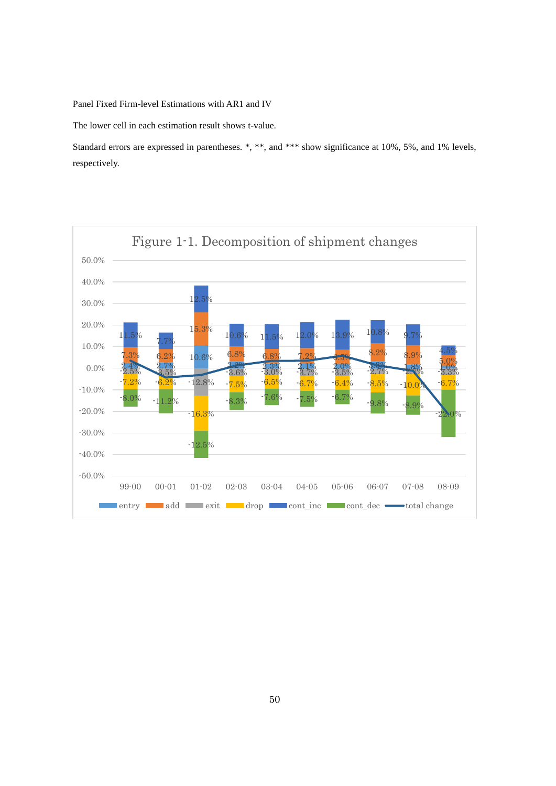Panel Fixed Firm-level Estimations with AR1 and IV

The lower cell in each estimation result shows t-value.

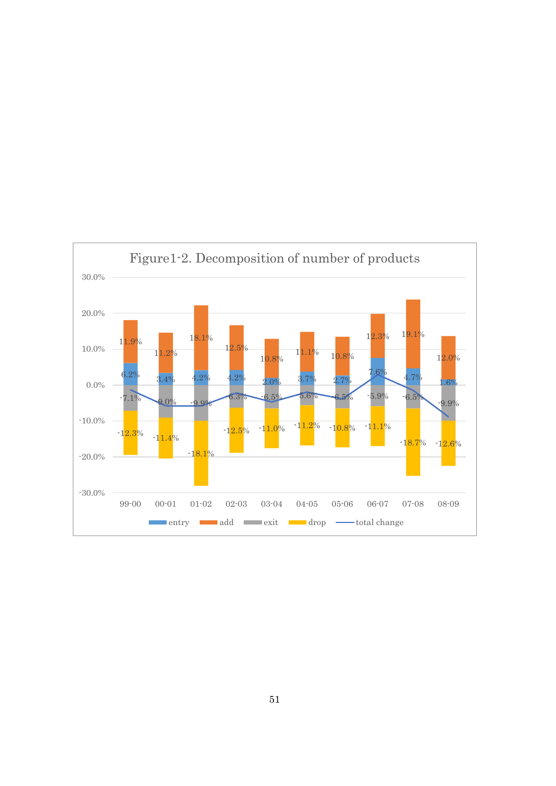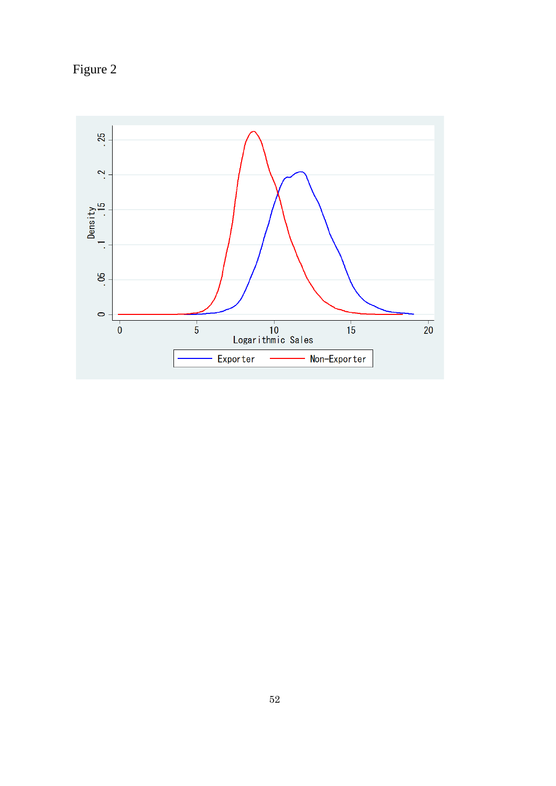Figure 2

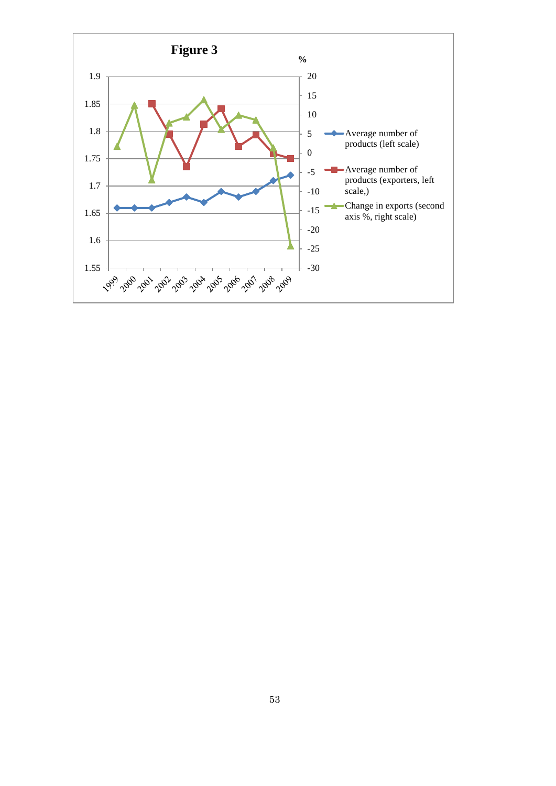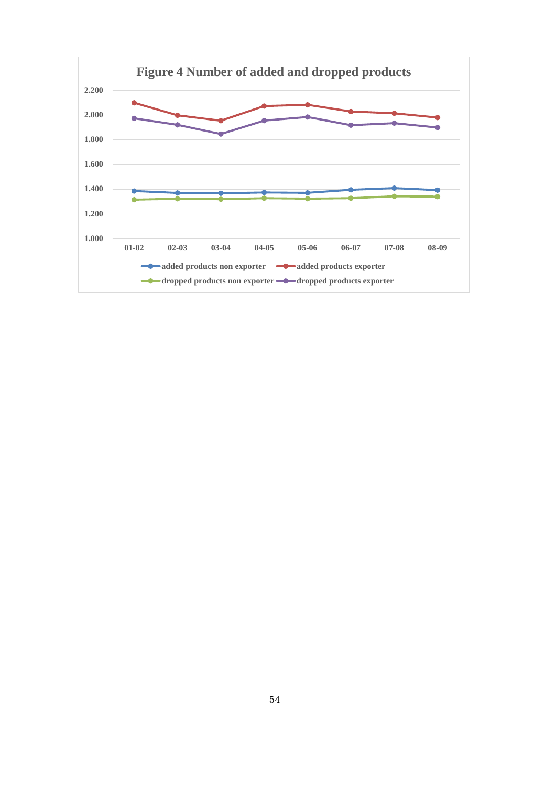